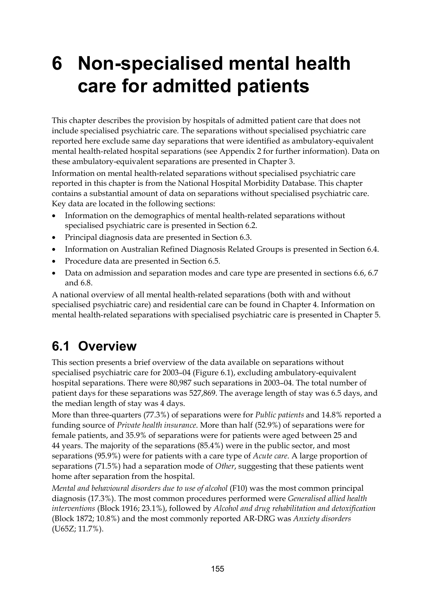# **6 Non-specialised mental health care for admitted patients**

This chapter describes the provision by hospitals of admitted patient care that does not include specialised psychiatric care. The separations without specialised psychiatric care reported here exclude same day separations that were identified as ambulatory-equivalent mental health-related hospital separations (see Appendix 2 for further information). Data on these ambulatory-equivalent separations are presented in Chapter 3.

Information on mental health-related separations without specialised psychiatric care reported in this chapter is from the National Hospital Morbidity Database. This chapter contains a substantial amount of data on separations without specialised psychiatric care. Key data are located in the following sections:

- Information on the demographics of mental health-related separations without specialised psychiatric care is presented in Section 6.2.
- Principal diagnosis data are presented in Section 6.3.
- Information on Australian Refined Diagnosis Related Groups is presented in Section 6.4.
- Procedure data are presented in Section 6.5.
- Data on admission and separation modes and care type are presented in sections 6.6, 6.7 and 6.8.

A national overview of all mental health-related separations (both with and without specialised psychiatric care) and residential care can be found in Chapter 4. Information on mental health-related separations with specialised psychiatric care is presented in Chapter 5.

# **6.1 Overview**

This section presents a brief overview of the data available on separations without specialised psychiatric care for 2003–04 (Figure 6.1), excluding ambulatory-equivalent hospital separations. There were 80,987 such separations in 2003–04. The total number of patient days for these separations was 527,869. The average length of stay was 6.5 days, and the median length of stay was 4 days.

More than three-quarters (77.3%) of separations were for *Public patients* and 14.8% reported a funding source of *Private health insurance*. More than half (52.9%) of separations were for female patients, and 35.9% of separations were for patients were aged between 25 and 44 years. The majority of the separations (85.4%) were in the public sector, and most separations (95.9%) were for patients with a care type of *Acute care*. A large proportion of separations (71.5%) had a separation mode of *Other*, suggesting that these patients went home after separation from the hospital.

*Mental and behavioural disorders due to use of alcohol* (F10) was the most common principal diagnosis (17.3%). The most common procedures performed were *Generalised allied health interventions* (Block 1916; 23.1%), followed by *Alcohol and drug rehabilitation and detoxification* (Block 1872; 10.8%) and the most commonly reported AR-DRG was *Anxiety disorders* (U65Z; 11.7%).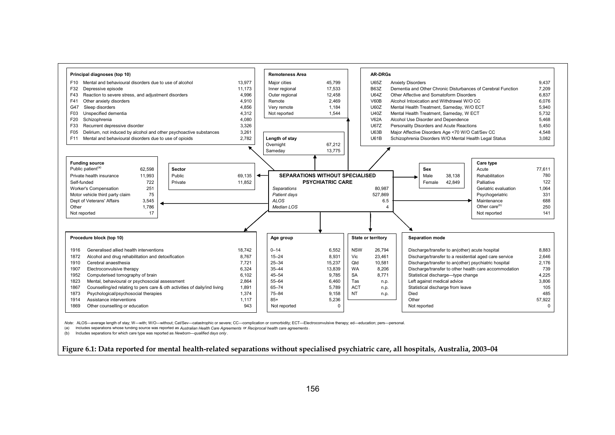

 *Note:* ALOS—average length of stay; W—with; W/O—without; Cat/Sev—catastrophic or severe; CC—complication or comorbidity; ECT—Electroconvulsive therapy; ed—education; pers—personal.

(a) Includes separations whose funding source was reported as *Australian Health Care Agreements* or *Reciprocal health care agreements* .

(b) Includes separations for which care type was reported as *Newborn—qualified days only* .

**Figure 6.1: Data reported for mental health-related separations without specialised psychiatric care, all hospitals, Australia, 2003–04**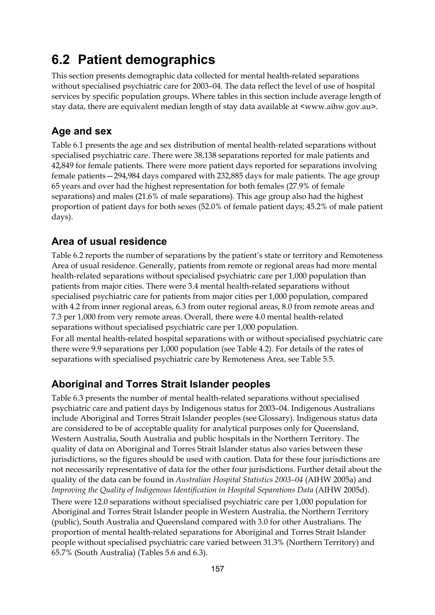# **6.2 Patient demographics**

This section presents demographic data collected for mental health-related separations without specialised psychiatric care for 2003–04. The data reflect the level of use of hospital services by specific population groups. Where tables in this section include average length of stay data, there are equivalent median length of stay data available at <www.aihw.gov.au>.

### **Age and sex**

Table 6.1 presents the age and sex distribution of mental health-related separations without specialised psychiatric care. There were 38,138 separations reported for male patients and 42,849 for female patients. There were more patient days reported for separations involving female patients—294,984 days compared with 232,885 days for male patients. The age group 65 years and over had the highest representation for both females (27.9% of female separations) and males (21.6% of male separations). This age group also had the highest proportion of patient days for both sexes (52.0% of female patient days; 45.2% of male patient days).

### **Area of usual residence**

Table 6.2 reports the number of separations by the patient's state or territory and Remoteness Area of usual residence. Generally, patients from remote or regional areas had more mental health-related separations without specialised psychiatric care per 1,000 population than patients from major cities. There were 3.4 mental health-related separations without specialised psychiatric care for patients from major cities per 1,000 population, compared with 4.2 from inner regional areas, 6.3 from outer regional areas, 8.0 from remote areas and 7.3 per 1,000 from very remote areas. Overall, there were 4.0 mental health-related separations without specialised psychiatric care per 1,000 population.

For all mental health-related hospital separations with or without specialised psychiatric care there were 9.9 separations per 1,000 population (see Table 4.2). For details of the rates of separations with specialised psychiatric care by Remoteness Area, see Table 5.5.

### **Aboriginal and Torres Strait Islander peoples**

Table 6.3 presents the number of mental health-related separations without specialised psychiatric care and patient days by Indigenous status for 2003–04. Indigenous Australians include Aboriginal and Torres Strait Islander peoples (see Glossary). Indigenous status data are considered to be of acceptable quality for analytical purposes only for Queensland, Western Australia, South Australia and public hospitals in the Northern Territory. The quality of data on Aboriginal and Torres Strait Islander status also varies between these jurisdictions, so the figures should be used with caution. Data for these four jurisdictions are not necessarily representative of data for the other four jurisdictions. Further detail about the quality of the data can be found in *Australian Hospital Statistics 2003–04* (AIHW 2005a) and *Improving the Quality of Indigenous Identification in Hospital Separations Data* (AIHW 2005d). There were 12.0 separations without specialised psychiatric care per 1,000 population for Aboriginal and Torres Strait Islander people in Western Australia, the Northern Territory (public), South Australia and Queensland compared with 3.0 for other Australians. The proportion of mental health-related separations for Aboriginal and Torres Strait Islander people without specialised psychiatric care varied between 31.3% (Northern Territory) and 65.7% (South Australia) (Tables 5.6 and 6.3).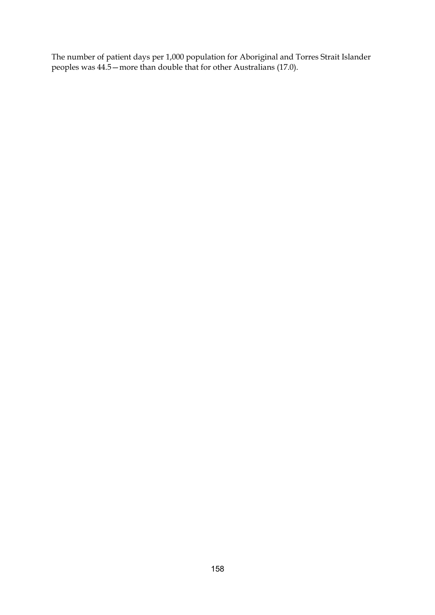The number of patient days per 1,000 population for Aboriginal and Torres Strait Islander peoples was 44.5—more than double that for other Australians (17.0).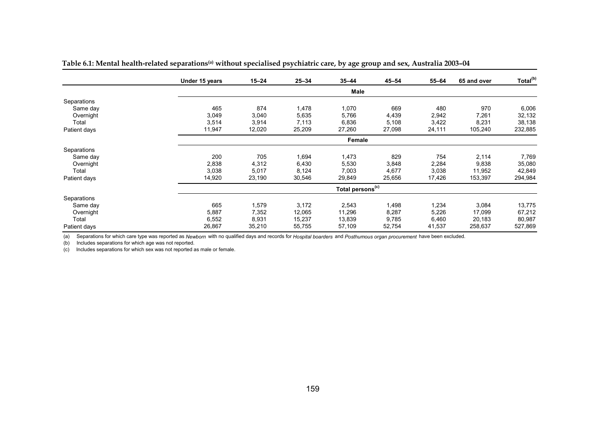|              | Under 15 years | $15 - 24$ | $25 - 34$ | $35 - 44$                    | $45 - 54$ | $55 - 64$ | 65 and over | Total <sup>(b)</sup> |
|--------------|----------------|-----------|-----------|------------------------------|-----------|-----------|-------------|----------------------|
|              |                |           |           | Male                         |           |           |             |                      |
| Separations  |                |           |           |                              |           |           |             |                      |
| Same day     | 465            | 874       | 1,478     | 1,070                        | 669       | 480       | 970         | 6,006                |
| Overnight    | 3,049          | 3,040     | 5,635     | 5,766                        | 4,439     | 2,942     | 7,261       | 32,132               |
| Total        | 3,514          | 3,914     | 7,113     | 6,836                        | 5,108     | 3,422     | 8,231       | 38,138               |
| Patient days | 11,947         | 12,020    | 25,209    | 27,260                       | 27,098    | 24,111    | 105,240     | 232,885              |
|              |                |           |           | Female                       |           |           |             |                      |
| Separations  |                |           |           |                              |           |           |             |                      |
| Same day     | 200            | 705       | 1,694     | 1,473                        | 829       | 754       | 2,114       | 7,769                |
| Overnight    | 2,838          | 4,312     | 6,430     | 5,530                        | 3,848     | 2,284     | 9,838       | 35,080               |
| Total        | 3,038          | 5,017     | 8,124     | 7,003                        | 4,677     | 3,038     | 11,952      | 42,849               |
| Patient days | 14,920         | 23,190    | 30,546    | 29,849                       | 25,656    | 17,426    | 153,397     | 294,984              |
|              |                |           |           | Total persons <sup>(c)</sup> |           |           |             |                      |
| Separations  |                |           |           |                              |           |           |             |                      |
| Same day     | 665            | 1,579     | 3,172     | 2,543                        | 1,498     | 1,234     | 3,084       | 13,775               |
| Overnight    | 5,887          | 7,352     | 12,065    | 11,296                       | 8,287     | 5,226     | 17,099      | 67,212               |
| Total        | 6,552          | 8,931     | 15,237    | 13,839                       | 9,785     | 6,460     | 20,183      | 80,987               |
| Patient days | 26,867         | 35,210    | 55,755    | 57,109                       | 52,754    | 41,537    | 258,637     | 527,869              |

Table 6.1: Mental health-related separations<sup>(a)</sup> without specialised psychiatric care, by age group and sex, Australia 2003-04

(a) Separations for which care type was reported as *Newborn* with no qualified days and records for *Hospital boarders* and *Posthumous organ procurement* have been excluded.

(b) Includes separations for which age was not reported.

(c) Includes separations for which sex was not reported as male or female.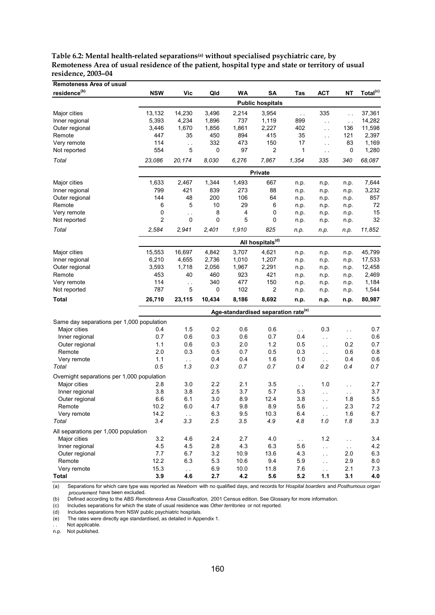| Table 6.2: Mental health-related separations <sup>(a)</sup> without specialised psychiatric care, by |
|------------------------------------------------------------------------------------------------------|
| Remoteness Area of usual residence of the patient, hospital type and state or territory of usual     |
| residence. 2003–04                                                                                   |

| <b>Remoteness Area of usual</b>            |                |                      |            |             |                                                 |               |                             |                     |                      |
|--------------------------------------------|----------------|----------------------|------------|-------------|-------------------------------------------------|---------------|-----------------------------|---------------------|----------------------|
| residence <sup>(b)</sup>                   | <b>NSW</b>     | Vic                  | Qld        | WA          | SA                                              | Tas           | АСТ                         | ΝT                  | Total <sup>(c)</sup> |
|                                            |                |                      |            |             | <b>Public hospitals</b>                         |               |                             |                     |                      |
| Major cities                               | 13,132         | 14,230               | 3,496      | 2,214       | 3,954                                           | $\sim$ .      | 335                         | $\ddotsc$           | 37,361               |
| Inner regional                             | 5,393          | 4,234                | 1,896      | 737         | 1,119                                           | 899           | $\bar{\mathcal{L}}$ .       | $\bar{\mathcal{L}}$ | 14,282               |
| Outer regional                             | 3,446          | 1,670                | 1,856      | 1,861       | 2,227                                           | 402           | $\sim$ $\sim$               | 136                 | 11,598               |
| Remote                                     | 447            | 35                   | 450        | 894         | 415                                             | 35            | $\sim$ .                    | 121                 | 2,397                |
| Very remote                                | 114            | $\ddot{\phantom{a}}$ | 332        | 473         | 150                                             | 17            | $\sim$ $\sim$               | 83                  | 1,169                |
| Not reported                               | 554            | 5                    | 0          | 97          | 2                                               | 1             | $\ddotsc$                   | 0                   | 1,280                |
| Total                                      | 23,086         | 20,174               | 8,030      | 6,276       | 7,867                                           | 1,354         | 335                         | 340                 | 68,087               |
|                                            |                |                      |            |             | Private                                         |               |                             |                     |                      |
| Major cities                               | 1,633          | 2,467                | 1,344      | 1,493       | 667                                             | n.p.          | n.p.                        | n.p.                | 7,644                |
| Inner regional                             | 799            | 421                  | 839        | 273         | 88                                              | n.p.          | n.p.                        | n.p.                | 3,232                |
| Outer regional                             | 144            | 48                   | 200        | 106         | 64                                              | n.p.          | n.p.                        | n.p.                | 857                  |
| Remote                                     | 6              | 5                    | 10         | 29          | 6                                               | n.p.          | n.p.                        | n.p.                | 72                   |
| Very remote                                | 0              | $\ddot{\phantom{1}}$ | 8          | 4           | 0                                               | n.p.          | n.p.                        | n.p.                | 15                   |
| Not reported                               | $\overline{2}$ | 0                    | 0          | 5           | 0                                               | n.p.          | n.p.                        | n.p.                | 32                   |
| Total                                      | 2,584          | 2,941                | 2,401      | 1,910       | 825                                             | n.p.          | n.p.                        | n.p.                | 11,852               |
|                                            |                |                      |            |             | All hospitals <sup>(d)</sup>                    |               |                             |                     |                      |
| Major cities                               | 15,553         | 16,697               | 4,842      | 3,707       | 4,621                                           | n.p.          | n.p.                        | n.p.                | 45,799               |
| Inner regional                             | 6,210          | 4,655                | 2,736      | 1,010       | 1,207                                           | n.p.          | n.p.                        | n.p.                | 17,533               |
| Outer regional                             | 3,593          | 1,718                | 2,056      | 1,967       | 2,291                                           | n.p.          | n.p.                        | n.p.                | 12,458               |
| Remote                                     | 453            | 40                   | 460        | 923         | 421                                             | n.p.          | n.p.                        | n.p.                | 2,469                |
| Very remote                                | 114            | i,                   | 340        | 477         | 150                                             | n.p.          | n.p.                        | n.p.                | 1,184                |
| Not reported                               | 787            | 5                    | 0          | 102         | 2                                               | n.p.          | n.p.                        | n.p.                | 1,544                |
| Total                                      | 26,710         | 23,115               | 10,434     | 8,186       | 8,692                                           | n.p.          | n.p.                        | n.p.                | 80,987               |
|                                            |                |                      |            |             | Age-standardised separation rate <sup>(e)</sup> |               |                             |                     |                      |
| Same day separations per 1,000 population  |                |                      |            |             |                                                 |               |                             |                     |                      |
| Major cities                               | 0.4            | 1.5                  | 0.2        | 0.6         | 0.6                                             | $\sim$ .      | 0.3                         | έ.                  | 0.7                  |
| Inner regional                             | 0.7            | 0.6                  | 0.3        | 0.6         | 0.7                                             | 0.4           | $\ddotsc$                   | $\sim$ $\sim$       | 0.6                  |
| Outer regional                             | 1.1            | 0.6                  | 0.3        | 2.0         | 1.2                                             | 0.5           | $\sim$                      | 0.2                 | 0.7                  |
| Remote                                     | 2.0            | 0.3                  | 0.5        | 0.7         | 0.5                                             | 0.3           | $\sim$                      | 0.6                 | 0.8                  |
| Very remote                                | 1.1            | $\sim$ $\sim$        | 0.4        | 0.4         | 1.6                                             | 1.0           | $\sim$ $\sim$               | 0.4                 | 0.6                  |
| Total                                      | 0.5            | 1.3                  | 0.3        | 0.7         | 0.7                                             | 0.4           | 0.2                         | 0.4                 | 0.7                  |
| Overnight separations per 1,000 population |                |                      |            |             |                                                 |               |                             |                     |                      |
| Major cities                               | 2.8            | 3.0                  | 2.2        | 2.1         | 3.5                                             | $\sim$ $\sim$ | 1.0                         | . .                 | 2.7                  |
| Inner regional                             | 3.8            | 3.8                  | 2.5        | 3.7         | 5.7                                             | 5.3           | $\sim$                      | $\hat{\mathcal{L}}$ | 3.7                  |
| Outer regional                             | 6.6            | 6.1                  | 3.0        | 8.9         | 12.4                                            | 3.8           | $\ddotsc$                   | 1.8                 | 5.5                  |
| Remote                                     | 10.2           | 6.0                  | 4.7        | 9.8         | 8.9                                             | 5.6           |                             | 2.3                 | 7.2                  |
| Very remote                                | 14.2           | $\sim$ $\sim$        | 6.3        | 9.5         | 10.3                                            | 6.4           | $\sim$                      | 1.6                 | 6.7                  |
| Total                                      | 3.4            | 3.3                  | 2.5        | 3.5         | 4.9                                             | 4.8           | $1.0\,$                     | 1.8                 | 3.3                  |
| All separations per 1,000 population       |                |                      |            |             |                                                 |               |                             |                     |                      |
| Major cities                               | 3.2            | 4.6                  | 2.4        | 2.7         | 4.0                                             | $\sim$        | 1.2                         | $\sim$              | 3.4                  |
| Inner regional                             | 4.5            | 4.5                  | 2.8        | 4.3         | 6.3                                             | 5.6           | i,                          | $\bar{\nu}$ .       | 4.2                  |
| Outer regional                             | 7.7            | 6.7                  | 3.2        | 10.9        | 13.6                                            | 4.3           | $\mathcal{L}_{\mathcal{A}}$ | 2.0                 | 6.3                  |
| Remote                                     | 12.2           | 6.3                  | 5.3        | 10.6        | 9.4                                             | 5.9           | $\sim$                      | 2.9                 | 8.0                  |
| Very remote<br><b>Total</b>                | 15.3<br>3.9    | $\bar{\nu}$ .<br>4.6 | 6.9<br>2.7 | 10.0<br>4.2 | 11.8<br>5.6                                     | 7.6<br>5.2    | $\sim$<br>1.1               | 2.1<br>3.1          | 7.3<br>4.0           |
|                                            |                |                      |            |             |                                                 |               |                             |                     |                      |

(a) Separations for which care type was reported as *Newborn* with no qualified days, and records for *Hospital boarders* and *Posthumous organ procurement* have been excluded.

(b) Defined according to the ABS *Remoteness Area Classification,* 2001 Census edition. See Glossary for more information.

(c) Includes separations for which the state of usual residence was *Other territories* or not reported.

(d) Includes separations from NSW public psychiatric hospitals.<br>
(e) The rates were directly age standardised, as detailed in App

The rates were directly age standardised, as detailed in Appendix 1.

Not applicable.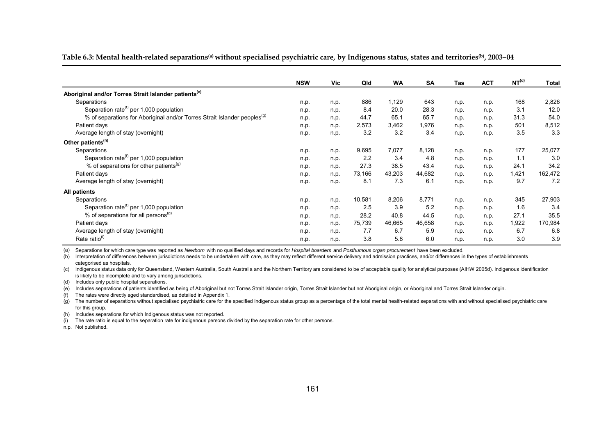**Table 6.3: Mental health-related separations(a) without specialised psychiatric care, by Indigenous status, states and territories(b), 2003**–**04**

|                                                                                      | <b>NSW</b> | Vic  | Qld    | <b>WA</b> | <b>SA</b> | Tas  | <b>ACT</b> | NT <sup>(d)</sup> | <b>Total</b> |
|--------------------------------------------------------------------------------------|------------|------|--------|-----------|-----------|------|------------|-------------------|--------------|
|                                                                                      |            |      |        |           |           |      |            |                   |              |
| Aboriginal and/or Torres Strait Islander patients <sup>(e)</sup>                     |            |      |        |           |           |      |            |                   |              |
| Separations                                                                          | n.p.       | n.p. | 886    | 1,129     | 643       | n.p. | n.p.       | 168               | 2,826        |
| Separation rate <sup>(f)</sup> per 1,000 population                                  | n.p.       | n.p. | 8.4    | 20.0      | 28.3      | n.p. | n.p.       | 3.1               | 12.0         |
| % of separations for Aboriginal and/or Torres Strait Islander peoples <sup>(9)</sup> | n.p.       | n.p. | 44.7   | 65.1      | 65.7      | n.p. | n.p.       | 31.3              | 54.0         |
| Patient days                                                                         | n.p.       | n.p. | 2,573  | 3,462     | 1,976     | n.p. | n.p.       | 501               | 8,512        |
| Average length of stay (overnight)                                                   | n.p.       | n.p. | 3.2    | 3.2       | 3.4       | n.p. | n.p.       | 3.5               | 3.3          |
| Other patients <sup>(h)</sup>                                                        |            |      |        |           |           |      |            |                   |              |
| Separations                                                                          | n.p.       | n.p. | 9,695  | 7,077     | 8,128     | n.p. | n.p.       | 177               | 25,077       |
| Separation rate <sup>(f)</sup> per 1,000 population                                  | n.p.       | n.p. | 2.2    | 3.4       | 4.8       | n.p. | n.p.       | 1.1               | 3.0          |
| % of separations for other patients <sup>(g)</sup>                                   | n.p.       | n.p. | 27.3   | 38.5      | 43.4      | n.p. | n.p.       | 24.1              | 34.2         |
| Patient days                                                                         | n.p.       | n.p. | 73,166 | 43,203    | 44,682    | n.p. | n.p.       | 1,421             | 162,472      |
| Average length of stay (overnight)                                                   | n.p.       | n.p. | 8.1    | 7.3       | 6.1       | n.p. | n.p.       | 9.7               | 7.2          |
| All patients                                                                         |            |      |        |           |           |      |            |                   |              |
| Separations                                                                          | n.p.       | n.p. | 10,581 | 8,206     | 8,771     | n.p. | n.p.       | 345               | 27,903       |
| Separation rate <sup>(f)</sup> per 1,000 population                                  | n.p.       | n.p. | 2.5    | 3.9       | 5.2       | n.p. | n.p.       | 1.6               | 3.4          |
| % of separations for all persons <sup>(g)</sup>                                      | n.p.       | n.p. | 28.2   | 40.8      | 44.5      | n.p. | n.p.       | 27.1              | 35.5         |
| Patient days                                                                         | n.p.       | n.p. | 75,739 | 46,665    | 46,658    | n.p. | n.p.       | 1,922             | 170,984      |
| Average length of stay (overnight)                                                   | n.p.       | n.p. | 7.7    | 6.7       | 5.9       | n.p. | n.p.       | 6.7               | 6.8          |
| Rate ratio <sup>(i)</sup>                                                            | n.p.       | n.p. | 3.8    | 5.8       | 6.0       | n.p. | n.p.       | 3.0               | 3.9          |

(a) Separations for which care type was reported as *Newborn* with no qualified days and records for *Hospital boarders* and *Posthumous organ procurement* have been excluded.

(b) Interpretation of differences between jurisdictions needs to be undertaken with care, as they may reflect different service delivery and admission practices, and/or differences in the types of establishments categorised as hospitals.

(c) Indigenous status data only for Queensland, Western Australia, South Australia and the Northern Territory are considered to be of acceptable quality for analytical purposes (AIHW 2005d). Indigenous identification is likely to be incomplete and to vary among jurisdictions.

(d) Includes only public hospital separations.

(e) Includes separations of patients identified as being of Aboriginal but not Torres Strait Islander origin, Torres Strait Islander but not Aboriginal origin, or Aboriginal and Torres Strait Islander origin.

(f) The rates were directly aged standardised, as detailed in Appendix 1.

(g) The number of separations without specialised psychiatric care for the specified Indigenous status group as a percentage of the total mental health-related separations with and without specialised psychiatric care for this group.

(h) Includes separations for which Indigenous status was not reported.

(i) The rate ratio is equal to the separation rate for indigenous persons divided by the separation rate for other persons.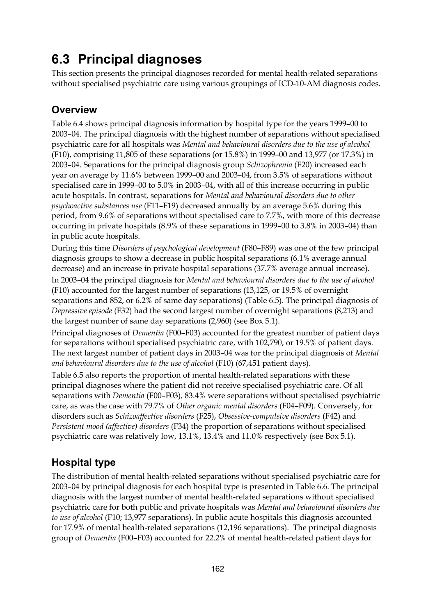# **6.3 Principal diagnoses**

This section presents the principal diagnoses recorded for mental health-related separations without specialised psychiatric care using various groupings of ICD-10-AM diagnosis codes.

### **Overview**

Table 6.4 shows principal diagnosis information by hospital type for the years 1999–00 to 2003–04. The principal diagnosis with the highest number of separations without specialised psychiatric care for all hospitals was *Mental and behavioural disorders due to the use of alcohol* (F10), comprising 11,805 of these separations (or 15.8%) in 1999–00 and 13,977 (or 17.3%) in 2003–04. Separations for the principal diagnosis group *Schizophrenia* (F20) increased each year on average by 11.6% between 1999–00 and 2003–04, from 3.5% of separations without specialised care in 1999–00 to 5.0% in 2003–04, with all of this increase occurring in public acute hospitals. In contrast, separations for *Mental and behavioural disorders due to other psychoactive substances use* (F11–F19) decreased annually by an average 5.6% during this period, from 9.6% of separations without specialised care to 7.7%, with more of this decrease occurring in private hospitals (8.9% of these separations in 1999–00 to 3.8% in 2003–04) than in public acute hospitals.

During this time *Disorders of psychological development* (F80–F89) was one of the few principal diagnosis groups to show a decrease in public hospital separations (6.1% average annual decrease) and an increase in private hospital separations (37.7% average annual increase). In 2003–04 the principal diagnosis for *Mental and behavioural disorders due to the use of alcohol*  (F10) accounted for the largest number of separations (13,125, or 19.5% of overnight separations and 852, or 6.2% of same day separations) (Table 6.5). The principal diagnosis of *Depressive episode* (F32) had the second largest number of overnight separations (8,213) and the largest number of same day separations (2,960) (see Box 5.1).

Principal diagnoses of *Dementia* (F00–F03) accounted for the greatest number of patient days for separations without specialised psychiatric care, with 102,790, or 19.5% of patient days. The next largest number of patient days in 2003–04 was for the principal diagnosis of *Mental*  and behavioural disorders due to the use of alcohol (F10) (67,451 patient days).

Table 6.5 also reports the proportion of mental health-related separations with these principal diagnoses where the patient did not receive specialised psychiatric care. Of all separations with *Dementia* (F00–F03)*,* 83.4% were separations without specialised psychiatric care, as was the case with 79.7% of *Other organic mental disorders* (F04–F09). Conversely, for disorders such as *Schizoaffective disorders* (F25), *Obsessive-compulsive disorders* (F42) and *Persistent mood (affective) disorders* (F34) the proportion of separations without specialised psychiatric care was relatively low, 13.1%, 13.4% and 11.0% respectively (see Box 5.1).

## **Hospital type**

The distribution of mental health-related separations without specialised psychiatric care for 2003–04 by principal diagnosis for each hospital type is presented in Table 6.6. The principal diagnosis with the largest number of mental health-related separations without specialised psychiatric care for both public and private hospitals was *Mental and behavioural disorders due to use of alcohol* (F10; 13,977 separations). In public acute hospitals this diagnosis accounted for 17.9% of mental health-related separations (12,196 separations). The principal diagnosis group of *Dementia* (F00–F03) accounted for 22.2% of mental health-related patient days for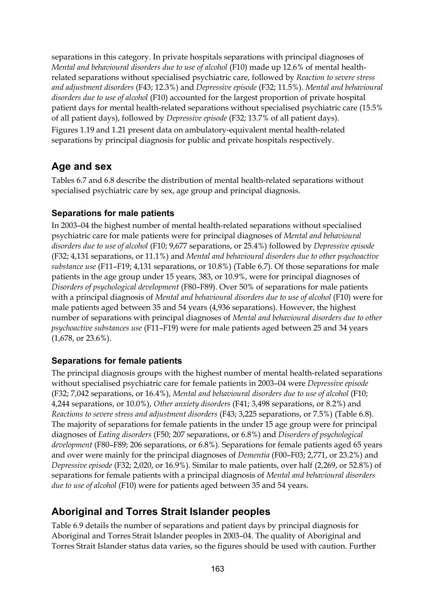separations in this category. In private hospitals separations with principal diagnoses of *Mental and behavioural disorders due to use of alcohol* (F10) made up 12.6% of mental healthrelated separations without specialised psychiatric care, followed by *Reaction to severe stress and adjustment disorders* (F43; 12.3%) and *Depressive episode* (F32; 11.5%). *Mental and behavioural disorders due to use of alcohol* (F10) accounted for the largest proportion of private hospital patient days for mental health-related separations without specialised psychiatric care (15.5% of all patient days), followed by *Depressive episode* (F32; 13.7% of all patient days). Figures 1.19 and 1.21 present data on ambulatory-equivalent mental health-related separations by principal diagnosis for public and private hospitals respectively.

### **Age and sex**

Tables 6.7 and 6.8 describe the distribution of mental health-related separations without specialised psychiatric care by sex, age group and principal diagnosis.

#### **Separations for male patients**

In 2003–04 the highest number of mental health-related separations without specialised psychiatric care for male patients were for principal diagnoses of *Mental and behavioural disorders due to use of alcohol* (F10; 9,677 separations, or 25.4%) followed by *Depressive episode* (F32; 4,131 separations, or 11.1%) and *Mental and behavioural disorders due to other psychoactive substance use* (F11–F19; 4,131 separations, or 10.8%) (Table 6.7). Of those separations for male patients in the age group under 15 years, 383, or 10.9%, were for principal diagnoses of *Disorders of psychological development* (F80–F89). Over 50% of separations for male patients with a principal diagnosis of *Mental and behavioural disorders due to use of alcohol* (F10) were for male patients aged between 35 and 54 years (4,936 separations). However, the highest number of separations with principal diagnoses of *Mental and behavioural disorders due to other psychoactive substances use* (F11–F19) were for male patients aged between 25 and 34 years (1,678, or 23.6%).

#### **Separations for female patients**

The principal diagnosis groups with the highest number of mental health-related separations without specialised psychiatric care for female patients in 2003–04 were *Depressive episode*  (F32; 7,042 separations, or 16.4%), *Mental and behavioural disorders due to use of alcohol* (F10; 4,244 separations, or 10.0%), *Other anxiety disorders* (F41; 3,498 separations, or 8.2%) and *Reactions to severe stress and adjustment disorders* (F43; 3,225 separations, or 7.5%) (Table 6.8). The majority of separations for female patients in the under 15 age group were for principal diagnoses of *Eating disorders* (F50; 207 separations, or 6.8%) and *Disorders of psychological development* (F80–F89; 206 separations, or 6.8%). Separations for female patients aged 65 years and over were mainly for the principal diagnoses of *Dementia* (F00–F03; 2,771, or 23.2%) and *Depressive episode* (F32; 2,020, or 16.9%). Similar to male patients, over half (2,269, or 52.8%) of separations for female patients with a principal diagnosis of *Mental and behavioural disorders due to use of alcohol* (F10) were for patients aged between 35 and 54 years.

### **Aboriginal and Torres Strait Islander peoples**

Table 6.9 details the number of separations and patient days by principal diagnosis for Aboriginal and Torres Strait Islander peoples in 2003–04. The quality of Aboriginal and Torres Strait Islander status data varies, so the figures should be used with caution. Further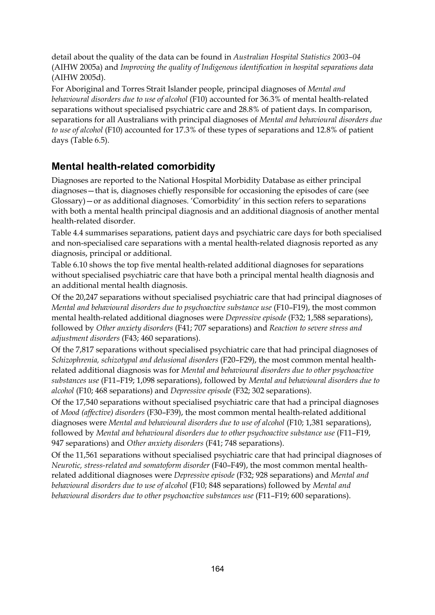detail about the quality of the data can be found in *Australian Hospital Statistics 2003–04* (AIHW 2005a) and *Improving the quality of Indigenous identification in hospital separations data*  (AIHW 2005d).

For Aboriginal and Torres Strait Islander people, principal diagnoses of *Mental and behavioural disorders due to use of alcohol* (F10) accounted for 36.3% of mental health-related separations without specialised psychiatric care and 28.8% of patient days. In comparison, separations for all Australians with principal diagnoses of *Mental and behavioural disorders due to use of alcohol* (F10) accounted for 17.3% of these types of separations and 12.8% of patient days (Table 6.5).

### **Mental health-related comorbidity**

Diagnoses are reported to the National Hospital Morbidity Database as either principal diagnoses—that is, diagnoses chiefly responsible for occasioning the episodes of care (see Glossary)—or as additional diagnoses. 'Comorbidity' in this section refers to separations with both a mental health principal diagnosis and an additional diagnosis of another mental health-related disorder.

Table 4.4 summarises separations, patient days and psychiatric care days for both specialised and non-specialised care separations with a mental health-related diagnosis reported as any diagnosis, principal or additional.

Table 6.10 shows the top five mental health-related additional diagnoses for separations without specialised psychiatric care that have both a principal mental health diagnosis and an additional mental health diagnosis.

Of the 20,247 separations without specialised psychiatric care that had principal diagnoses of *Mental and behavioural disorders due to psychoactive substance use* (F10–F19), the most common mental health-related additional diagnoses were *Depressive episode* (F32; 1,588 separations), followed by *Other anxiety disorders* (F41; 707 separations) and *Reaction to severe stress and adjustment disorders* (F43; 460 separations).

Of the 7,817 separations without specialised psychiatric care that had principal diagnoses of *Schizophrenia, schizotypal and delusional disorders* (F20–F29), the most common mental healthrelated additional diagnosis was for *Mental and behavioural disorders due to other psychoactive substances use* (F11–F19; 1,098 separations), followed by *Mental and behavioural disorders due to alcohol* (F10; 468 separations) and *Depressive episode* (F32; 302 separations).

Of the 17,540 separations without specialised psychiatric care that had a principal diagnoses of *Mood (affective) disorders* (F30–F39), the most common mental health-related additional diagnoses were *Mental and behavioural disorders due to use of alcohol* (F10; 1,381 separations), followed by *Mental and behavioural disorders due to other psychoactive substance use* (F11–F19, 947 separations) and *Other anxiety disorders* (F41; 748 separations).

Of the 11,561 separations without specialised psychiatric care that had principal diagnoses of *Neurotic, stress-related and somatoform disorder* (F40–F49), the most common mental healthrelated additional diagnoses were *Depressive episode* (F32; 928 separations) and *Mental and behavioural disorders due to use of alcohol* (F10; 848 separations) followed by *Mental and behavioural disorders due to other psychoactive substances use* (F11–F19; 600 separations).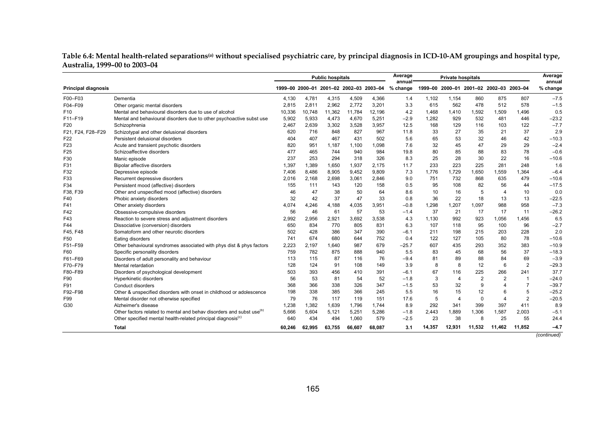|                               | Table 6.4: Mental health-related separations <sup>(a)</sup> without specialised psychiatric care, by principal diagnosis in ICD-10-AM groupings and hospital type, |  |  |
|-------------------------------|--------------------------------------------------------------------------------------------------------------------------------------------------------------------|--|--|
| Australia, 1999–00 to 2003–04 |                                                                                                                                                                    |  |  |

|                            |                                                                                  |                                         |        | <b>Public hospitals</b> |        |        | Average<br>annual |        | <b>Private hospitals</b> |                                         |                |                | Average<br>annual |
|----------------------------|----------------------------------------------------------------------------------|-----------------------------------------|--------|-------------------------|--------|--------|-------------------|--------|--------------------------|-----------------------------------------|----------------|----------------|-------------------|
| <b>Principal diagnosis</b> |                                                                                  | 1999-00 2000-01 2001-02 2002-03 2003-04 |        |                         |        |        | % change          |        |                          | 1999-00 2000-01 2001-02 2002-03 2003-04 |                |                | % change          |
| F00-F03                    | Dementia                                                                         | 4,130                                   | 4,781  | 4,315                   | 4,509  | 4,366  | 1.4               | 1,102  | 1,154                    | 860                                     | 875            | 807            | $-7.5$            |
| F04-F09                    | Other organic mental disorders                                                   | 2.815                                   | 2,811  | 2,962                   | 2,772  | 3,201  | 3.3               | 615    | 562                      | 478                                     | 512            | 578            | $-1.5$            |
| F <sub>10</sub>            | Mental and behavioural disorders due to use of alcohol                           | 10,336                                  | 10.748 | 11,362                  | 11,784 | 12,196 | 4.2               | 1.468  | 1,410                    | 1,592                                   | 1,509          | 1.496          | 0.5               |
| F11-F19                    | Mental and behavioural disorders due to other psychoactive subst use             | 5,902                                   | 5,933  | 4,473                   | 4,670  | 5.251  | $-2.9$            | 1.282  | 929                      | 532                                     | 481            | 446            | $-23.2$           |
| F20                        | Schizophrenia                                                                    | 2,467                                   | 2,639  | 3,302                   | 3,528  | 3,957  | 12.5              | 168    | 129                      | 116                                     | 103            | 122            | $-7.7$            |
| F21, F24, F28-F29          | Schizotypal and other delusional disorders                                       | 620                                     | 716    | 848                     | 827    | 967    | 11.8              | 33     | 27                       | 35                                      | 21             | 37             | 2.9               |
| F <sub>22</sub>            | Persistent delusional disorders                                                  | 404                                     | 407    | 467                     | 431    | 502    | 5.6               | 65     | 53                       | 32                                      | 46             | 42             | $-10.3$           |
| F <sub>23</sub>            | Acute and transient psychotic disorders                                          | 820                                     | 951    | 1,187                   | 1,100  | 1,098  | 7.6               | 32     | 45                       | 47                                      | 29             | 29             | $-2.4$            |
| F <sub>25</sub>            | Schizoaffective disorders                                                        | 477                                     | 465    | 744                     | 940    | 984    | 19.8              | 80     | 85                       | 88                                      | 83             | 78             | $-0.6$            |
| F30                        | Manic episode                                                                    | 237                                     | 253    | 294                     | 318    | 326    | 8.3               | 25     | 28                       | 30                                      | 22             | 16             | $-10.6$           |
| F31                        | Bipolar affective disorders                                                      | 1,397                                   | 1,389  | 1,650                   | 1,937  | 2,175  | 11.7              | 233    | 223                      | 225                                     | 281            | 248            | 1.6               |
| F32                        | Depressive episode                                                               | 7.406                                   | 8.486  | 8,905                   | 9.452  | 9.809  | 7.3               | 1.776  | 1,729                    | 1,650                                   | 1.559          | 1.364          | $-6.4$            |
| F33                        | Recurrent depressive disorders                                                   | 2,016                                   | 2,168  | 2,698                   | 3,061  | 2,846  | 9.0               | 751    | 732                      | 868                                     | 635            | 479            | $-10.6$           |
| F34                        | Persistent mood (affective) disorders                                            | 155                                     | 111    | 143                     | 120    | 158    | 0.5               | 95     | 108                      | 82                                      | 56             | 44             | $-17.5$           |
| F38, F39                   | Other and unspecified mood (affective) disorders                                 | 46                                      | 47     | 38                      | 50     | 64     | 8.6               | 10     | 16                       | 5                                       | $\overline{4}$ | 10             | 0.0               |
| F40                        | Phobic anxiety disorders                                                         | 32                                      | 42     | 37                      | 47     | 33     | 0.8               | 36     | 22                       | 18                                      | 13             | 13             | $-22.5$           |
| F41                        | Other anxiety disorders                                                          | 4,074                                   | 4.246  | 4,188                   | 4,035  | 3,951  | $-0.8$            | 1,298  | 1,207                    | 1,097                                   | 988            | 958            | $-7.3$            |
| F42                        | Obsessive-compulsive disorders                                                   | 56                                      | 46     | 61                      | 57     | 53     | $-1.4$            | 37     | 21                       | 17                                      | 17             | 11             | $-26.2$           |
| F43                        | Reaction to severe stress and adjustment disorders                               | 2,992                                   | 2,956  | 2,921                   | 3,692  | 3,538  | 4.3               | 1,130  | 992                      | 923                                     | 1,056          | 1.456          | 6.5               |
| F44                        | Dissociative (conversion) disorders                                              | 650                                     | 834    | 770                     | 805    | 831    | 6.3               | 107    | 118                      | 95                                      | 100            | 96             | $-2.7$            |
| F45, F48                   | Somatoform and other neurotic disorders                                          | 502                                     | 428    | 386                     | 347    | 390    | $-6.1$            | 211    | 198                      | 215                                     | 203            | 228            | 2.0               |
| F50                        | Eating disorders                                                                 | 741                                     | 674    | 680                     | 644    | 752    | 0.4               | 122    | 127                      | 105                                     | 80             | 78             | $-10.6$           |
| F51-F59                    | Other behavioural syndromes associated with phys dist & phys factors             | 2,223                                   | 2,197  | 1,640                   | 987    | 679    | $-25.7$           | 607    | 435                      | 293                                     | 352            | 383            | $-10.9$           |
| F60                        | Specific personality disorders                                                   | 759                                     | 782    | 875                     | 888    | 940    | 5.5               | 83     | 45                       | 68                                      | 56             | 37             | $-18.3$           |
| F61-F69                    | Disorders of adult personality and behaviour                                     | 113                                     | 115    | 87                      | 116    | 76     | $-9.4$            | 81     | 89                       | 88                                      | 84             | 69             | $-3.9$            |
| F70-F79                    | Mental retardation                                                               | 128                                     | 124    | 91                      | 108    | 149    | 3.9               | 8      | 8                        | 12                                      | 6              | $\overline{2}$ | $-29.3$           |
| F80-F89                    | Disorders of psychological development                                           | 503                                     | 393    | 456                     | 410    | 391    | $-6.1$            | 67     | 116                      | 225                                     | 266            | 241            | 37.7              |
| F90                        | Hyperkinetic disorders                                                           | 56                                      | 53     | 81                      | 54     | 52     | $-1.8$            | 3      | $\overline{4}$           | $\overline{2}$                          | $\overline{2}$ | $\overline{1}$ | $-24.0$           |
| F91                        | Conduct disorders                                                                | 368                                     | 366    | 338                     | 326    | 347    | $-1.5$            | 53     | 32                       | 9                                       | $\overline{4}$ |                | $-39.7$           |
| F92-F98                    | Other & unspecified disorders with onset in childhood or adolescence             | 198                                     | 338    | 385                     | 366    | 245    | 5.5               | 16     | 15                       | 12                                      | 6              |                | $-25.2$           |
| F99                        | Mental disorder not otherwise specified                                          | 79                                      | 76     | 117                     | 119    | 151    | 17.6              | 5      | $\boldsymbol{\Delta}$    | $\mathbf 0$                             | $\Delta$       | 2              | $-20.5$           |
| G30                        | Alzheimer's disease                                                              | 1,238                                   | 1,382  | 1,639                   | 1,796  | 1,744  | 8.9               | 292    | 341                      | 399                                     | 397            | 411            | 8.9               |
|                            | Other factors related to mental and behav disorders and subst use <sup>(b)</sup> | 5,666                                   | 5,604  | 5,121                   | 5,251  | 5,286  | $-1.8$            | 2.443  | 1,889                    | 1,306                                   | 1,587          | 2,003          | $-5.1$            |
|                            | Other specified mental health-related principal diagnosis <sup>(c)</sup>         | 640                                     | 434    | 494                     | 1,060  | 579    | $-2.5$            | 23     | 38                       | 8                                       | 25             | 55             | 24.4              |
|                            | Total                                                                            | 60.246                                  | 62.995 | 63,755                  | 66,607 | 68.087 | 3.1               | 14.357 | 12.931                   | 11.532                                  | 11.462         | 11,852         | $-4.7$            |
|                            |                                                                                  |                                         |        |                         |        |        |                   |        |                          |                                         |                |                | $($ continued $)$ |

*(continued)*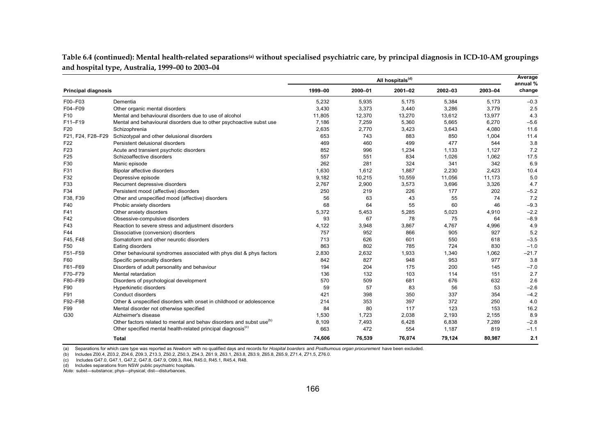Table 6.4 (continued): Mental health-related separations<sup>(a)</sup> without specialised psychiatric care, by principal diagnosis in ICD-10-AM groupings **and hospital type, Australia, 1999–00 to 2003–04**

|                            |                                                                                  | All hospitals <sup>(d)</sup> |         |             |         |         |                    |  |
|----------------------------|----------------------------------------------------------------------------------|------------------------------|---------|-------------|---------|---------|--------------------|--|
| <b>Principal diagnosis</b> |                                                                                  | 1999-00                      | 2000-01 | $2001 - 02$ | 2002-03 | 2003-04 | annual %<br>change |  |
| F00-F03                    | Dementia                                                                         | 5,232                        | 5,935   | 5.175       | 5,384   | 5,173   | $-0.3$             |  |
| F04-F09                    | Other organic mental disorders                                                   | 3,430                        | 3,373   | 3,440       | 3,286   | 3,779   | 2.5                |  |
| F <sub>10</sub>            | Mental and behavioural disorders due to use of alcohol                           | 11,805                       | 12,370  | 13,270      | 13,612  | 13,977  | 4.3                |  |
| F11-F19                    | Mental and behavioural disorders due to other psychoactive subst use             | 7.186                        | 7,259   | 5,360       | 5.665   | 6,270   | $-5.6$             |  |
| F <sub>20</sub>            | Schizophrenia                                                                    | 2,635                        | 2,770   | 3,423       | 3,643   | 4,080   | 11.6               |  |
| F21, F24, F28-F29          | Schizotypal and other delusional disorders                                       | 653                          | 743     | 883         | 850     | 1,004   | 11.4               |  |
| F <sub>22</sub>            | Persistent delusional disorders                                                  | 469                          | 460     | 499         | 477     | 544     | 3.8                |  |
| F <sub>23</sub>            | Acute and transient psychotic disorders                                          | 852                          | 996     | 1,234       | 1,133   | 1,127   | 7.2                |  |
| F <sub>25</sub>            | Schizoaffective disorders                                                        | 557                          | 551     | 834         | 1,026   | 1,062   | 17.5               |  |
| F30                        | Manic episode                                                                    | 262                          | 281     | 324         | 341     | 342     | 6.9                |  |
| F31                        | Bipolar affective disorders                                                      | 1,630                        | 1,612   | 1,887       | 2,230   | 2,423   | 10.4               |  |
| F32                        | Depressive episode                                                               | 9,182                        | 10,215  | 10,559      | 11,056  | 11,173  | 5.0                |  |
| F33                        | Recurrent depressive disorders                                                   | 2,767                        | 2,900   | 3,573       | 3,696   | 3,326   | 4.7                |  |
| F34                        | Persistent mood (affective) disorders                                            | 250                          | 219     | 226         | 177     | 202     | $-5.2$             |  |
| F38, F39                   | Other and unspecified mood (affective) disorders                                 | 56                           | 63      | 43          | 55      | 74      | 7.2                |  |
| F40                        | Phobic anxiety disorders                                                         | 68                           | 64      | 55          | 60      | 46      | $-9.3$             |  |
| F41                        | Other anxiety disorders                                                          | 5,372                        | 5,453   | 5,285       | 5,023   | 4,910   | $-2.2$             |  |
| F42                        | Obsessive-compulsive disorders                                                   | 93                           | 67      | 78          | 75      | 64      | $-8.9$             |  |
| F43                        | Reaction to severe stress and adjustment disorders                               | 4,122                        | 3,948   | 3,867       | 4,767   | 4,996   | 4.9                |  |
| F44                        | Dissociative (conversion) disorders                                              | 757                          | 952     | 866         | 905     | 927     | 5.2                |  |
| F45, F48                   | Somatoform and other neurotic disorders                                          | 713                          | 626     | 601         | 550     | 618     | $-3.5$             |  |
| F50                        | Eating disorders                                                                 | 863                          | 802     | 785         | 724     | 830     | $-1.0$             |  |
| F51-F59                    | Other behavioural syndromes associated with phys dist & phys factors             | 2,830                        | 2,632   | 1,933       | 1,340   | 1,062   | $-21.7$            |  |
| F60                        | Specific personality disorders                                                   | 842                          | 827     | 948         | 953     | 977     | 3.8                |  |
| F61-F69                    | Disorders of adult personality and behaviour                                     | 194                          | 204     | 175         | 200     | 145     | $-7.0$             |  |
| F70-F79                    | Mental retardation                                                               | 136                          | 132     | 103         | 114     | 151     | 2.7                |  |
| F80-F89                    | Disorders of psychological development                                           | 570                          | 509     | 681         | 676     | 632     | 2.6                |  |
| F90                        | Hyperkinetic disorders                                                           | 59                           | 57      | 83          | 56      | 53      | $-2.6$             |  |
| F91                        | Conduct disorders                                                                | 421                          | 398     | 350         | 337     | 354     | $-4.2$             |  |
| F92-F98                    | Other & unspecified disorders with onset in childhood or adolescence             | 214                          | 353     | 397         | 372     | 250     | 4.0                |  |
| F99                        | Mental disorder not otherwise specified                                          | 84                           | 80      | 117         | 123     | 153     | 16.2               |  |
| G30                        | Alzheimer's disease                                                              | 1,530                        | 1,723   | 2,038       | 2,193   | 2,155   | 8.9                |  |
|                            | Other factors related to mental and behav disorders and subst use <sup>(b)</sup> | 8,109                        | 7,493   | 6,428       | 6,838   | 7,289   | $-2.8$             |  |
|                            | Other specified mental health-related principal diagnosis <sup>(c)</sup>         | 663                          | 472     | 554         | 1,187   | 819     | $-1.1$             |  |
|                            | <b>Total</b>                                                                     | 74,606                       | 76,539  | 76,074      | 79,124  | 80,987  | 2.1                |  |

(a) Separations for which care type was reported as *Newborn* with no qualified days and records for *Hospital boarders* and *Posthumous organ procurement* have been excluded.

(b) Includes Z00.4, Z03.2, Z04.6, Z09.3, Z13.3, Z50.2, Z50.3, Z54.3, Z61.9, Z63.1, Z63.8, Z63.9, Z65.8, Z65.9, Z71.4, Z71.5, Z76.0.

(c) Includes G47.0, G47.1, G47.2, G47.8, G47.9, O99.3, R44, R45.0, R45.1, R45.4, R48.

(d) Includes separations from NSW public psychiatric hospitals.

*Note:* subst—substance; phys—physical; dist—disturbances.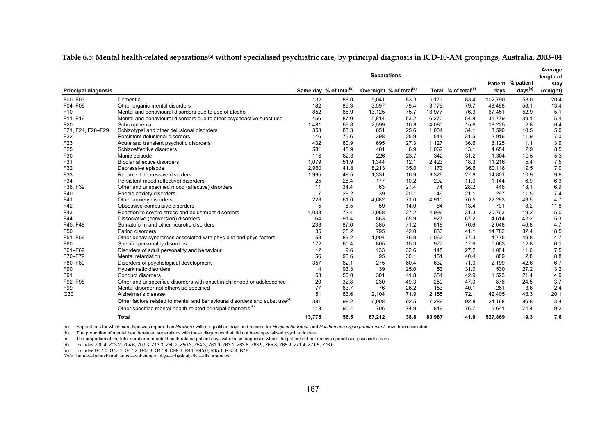|                            |                                                                                        | <b>Separations</b> |                                    |        |                                     |        |                                 |         |                                          | Average<br>length of |
|----------------------------|----------------------------------------------------------------------------------------|--------------------|------------------------------------|--------|-------------------------------------|--------|---------------------------------|---------|------------------------------------------|----------------------|
| <b>Principal diagnosis</b> |                                                                                        |                    | Same day % of total <sup>(b)</sup> |        | Overnight % of total <sup>(b)</sup> |        | Total % of total <sup>(b)</sup> | days    | Patient % patient<br>days <sup>(c)</sup> | stay<br>(o'night)    |
| F00-F03                    | Dementia                                                                               | 132                | 88.0                               | 5,041  | 83.3                                | 5.173  | 83.4                            | 102,790 | 58.0                                     | 20.4                 |
| F04-F09                    | Other organic mental disorders                                                         | 182                | 86.3                               | 3,597  | 79.4                                | 3,779  | 79.7                            | 48.488  | 58.1                                     | 13.4                 |
| F <sub>10</sub>            | Mental and behavioural disorders due to use of alcohol                                 | 852                | 86.9                               | 13,125 | 75.7                                | 13,977 | 76.3                            | 67.451  | 52.9                                     | 5.1                  |
| F11-F19                    | Mental and behavioural disorders due to other psychoactive subst use                   | 456                | 87.0                               | 5,814  | 53.2                                | 6,270  | 54.8                            | 31.779  | 39.1                                     | 5.4                  |
| F20                        | Schizophrenia                                                                          | 1.481              | 69.8                               | 2.599  | 10.8                                | 4.080  | 15.6                            | 18.225  | 2.8                                      | 6.4                  |
| F21, F24, F28-F29          | Schizotypal and other delusional disorders                                             | 353                | 88.3                               | 651    | 25.6                                | 1,004  | 34.1                            | 3,590   | 10.5                                     | 5.0                  |
| F <sub>22</sub>            | Persistent delusional disorders                                                        | 146                | 75.6                               | 398    | 25.9                                | 544    | 31.5                            | 2.916   | 11.9                                     | 7.0                  |
| F <sub>23</sub>            | Acute and transient psychotic disorders                                                | 432                | 80.9                               | 695    | 27.3                                | 1,127  | 36.6                            | 3,125   | 11.1                                     | 3.9                  |
| F <sub>25</sub>            | Schizoaffective disorders                                                              | 581                | 48.9                               | 481    | 6.9                                 | 1,062  | 13.1                            | 4,654   | 2.9                                      | 8.5                  |
| F30                        | Manic episode                                                                          | 116                | 82.3                               | 226    | 23.7                                | 342    | 31.2                            | 1,304   | 10.5                                     | 5.3                  |
| F31                        | Bipolar affective disorders                                                            | 1,079              | 51.9                               | 1,344  | 12.1                                | 2,423  | 18.3                            | 11.216  | 5.4                                      | 7.5                  |
| F32                        | Depressive episode                                                                     | 2,960              | 41.8                               | 8,213  | 35.0                                | 11,173 | 36.6                            | 60,118  | 19.5                                     | 7.0                  |
| F33                        | Recurrent depressive disorders                                                         | 1,995              | 48.5                               | 1,331  | 16.9                                | 3,326  | 27.8                            | 14,801  | 10.9                                     | 9.6                  |
| F34                        | Persistent mood (affective) disorders                                                  | 25                 | 28.4                               | 177    | 10.2                                | 202    | 11.0                            | 1,144   | 6.9                                      | 6.3                  |
| F38, F39                   | Other and unspecified mood (affective) disorders                                       | 11                 | 34.4                               | 63     | 27.4                                | 74     | 28.2                            | 446     | 18.1                                     | 6.9                  |
| F40                        | Phobic anxiety disorders                                                               |                    | 29.2                               | 39     | 20.1                                | 46     | 21.1                            | 297     | 11.5                                     | 7.4                  |
| F41                        | Other anxiety disorders                                                                | 228                | 61.0                               | 4,682  | 71.0                                | 4,910  | 70.5                            | 22,283  | 43.5                                     | 4.7                  |
| F42                        | Obsessive-compulsive disorders                                                         | 5                  | 8.5                                | 59     | 14.0                                | 64     | 13.4                            | 701     | 8.2                                      | 11.8                 |
| F43                        | Reaction to severe stress and adjustment disorders                                     | 1,038              | 72.4                               | 3,958  | 27.2                                | 4,996  | 31.3                            | 20.763  | 19.2                                     | 5.0                  |
| F44                        | Dissociative (conversion) disorders                                                    | 64                 | 91.4                               | 863    | 65.9                                | 927    | 67.2                            | 4,614   | 42.2                                     | 5.3                  |
| F45, F48                   | Somatoform and other neurotic disorders                                                | 233                | 87.6                               | 385    | 71.2                                | 618    | 76.6                            | 2.048   | 46.8                                     | 4.7                  |
| F50                        | Eating disorders                                                                       | 35                 | 28.2                               | 795    | 42.0                                | 830    | 41.1                            | 14,782  | 32.4                                     | 18.5                 |
| F51-F59                    | Other behav syndromes associated with phys dist and phys factors                       | 58                 | 89.2                               | 1.004  | 76.8                                | 1,062  | 77.3                            | 4.775   | 49.8                                     | 4.7                  |
| F60                        | Specific personality disorders                                                         | 172                | 60.4                               | 805    | 15.3                                | 977    | 17.6                            | 5,063   | 12.8                                     | 6.1                  |
| F61-F69                    | Disorders of adult personality and behaviour                                           | 12                 | 9.6                                | 133    | 32.6                                | 145    | 27.2                            | 1.004   | 11.6                                     | 7.5                  |
| F70-F79                    | Mental retardation                                                                     | 56                 | 96.6                               | 95     | 30.1                                | 151    | 40.4                            | 889     | 2.8                                      | 8.8                  |
| F80-F89                    | Disorders of psychological development                                                 | 357                | 82.1                               | 275    | 60.4                                | 632    | 71.0                            | 2,199   | 42.6                                     | 6.7                  |
| F90                        | Hyperkinetic disorders                                                                 | 14                 | 93.3                               | 39     | 25.0                                | 53     | 31.0                            | 530     | 27.2                                     | 13.2                 |
| F91                        | Conduct disorders                                                                      | 53                 | 50.0                               | 301    | 41.8                                | 354    | 42.9                            | 1.523   | 21.4                                     | 4.9                  |
| F92-F98                    | Other and unspecified disorders with onset in childhood or adolescence                 | 20                 | 32.8                               | 230    | 49.3                                | 250    | 47.3                            | 876     | 24.5                                     | 3.7                  |
| F99                        | Mental disorder not otherwise specified                                                | 77                 | 83.7                               | 76     | 26.2                                | 153    | 40.1                            | 261     | 3.6                                      | 2.4                  |
| G30                        | Alzheimer's disease                                                                    | 51                 | 83.6                               | 2,104  | 71.9                                | 2,155  | 72.1                            | 42,405  | 48.3                                     | 20.1                 |
|                            | Other factors related to mental and behavioural disorders and subst use <sup>(d)</sup> | 381                | 98.2                               | 6,908  | 92.5                                | 7,289  | 92.8                            | 24,168  | 86.8                                     | 3.4                  |
|                            | Other specified mental health-related principal diagnosis <sup>(e)</sup>               | 113                | 90.4                               | 706    | 74.9                                | 819    | 76.7                            | 6,641   | 74.4                                     | 9.2                  |
|                            | <b>Total</b>                                                                           | 13,775             | 56.5                               | 67,212 | 38.8                                | 80.987 | 41.0                            | 527.869 | 19.3                                     | 7.6                  |

| Table 6.5: Mental health-related separationsઓ without specialised psychiatric care, by principal diagnosis in ICD-10-AM groupings, Australia, 2003–04 |  |  |  |  |
|-------------------------------------------------------------------------------------------------------------------------------------------------------|--|--|--|--|
|                                                                                                                                                       |  |  |  |  |

(a) Separations for which care type was reported as *Newborn* with no qualified days and records for *Hospital boarders* and *Posthumous organ procurement* have been excluded.

(b) The proportion of mental health-related separations with these diagnoses that did not have specialised psychiatric care.

(c) The proportion of the total number of mental health-related patient days with these diagnoses where the patient did not receive specialised psychiatric care.

(d) Includes Z00.4, Z03.2, Z04.6, Z09.3, Z13.3, Z50.2, Z50.3, Z54.3, Z61.9, Z63.1, Z63.8, Z63.9, Z65.8, Z65.9, Z71.4, Z71.5, Z76.0.

(e) Includes G47.0, G47.1, G47.2, G47.8, G47.9, O99.3, R44, R45.0, R45.1, R45.4, R48.

*Note:* behav—behavioural; subst—substance; phys—physical; dist—disturbances.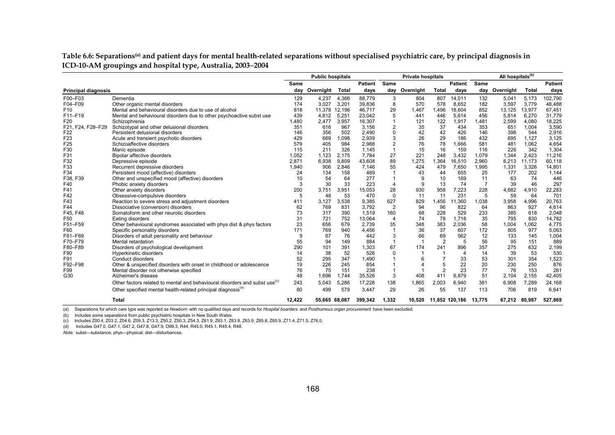Table 6.6: Separations<sup>(a)</sup> and patient days for mental health-related separations without specialised psychiatric care, by principal diagnosis in **ICD-10-AM groupings and hospital type, Australia, 2003**–**2004**

|                            |                                                                                        | <b>Public hospitals</b> |               |              |                | <b>Private hospitals</b> |           |                          | All hospitals <sup>(b)</sup> |                |           |              |                |
|----------------------------|----------------------------------------------------------------------------------------|-------------------------|---------------|--------------|----------------|--------------------------|-----------|--------------------------|------------------------------|----------------|-----------|--------------|----------------|
|                            |                                                                                        | Same                    |               |              | <b>Patient</b> | Same                     |           |                          | <b>Patient</b>               | Same           |           |              | <b>Patient</b> |
| <b>Principal diagnosis</b> |                                                                                        | day                     | Overnight     | <b>Total</b> | days           | day                      | Overnight | <b>Total</b>             | days                         | day            | Overnight | <b>Total</b> | days           |
| F00-F03                    | Dementia                                                                               | 129                     | 4,237         | 4,366        | 88,779         | 3                        | 804       | 807                      | 14,011                       | 132            | 5,041     | 5,173        | 102,790        |
| F04-F09                    | Other organic mental disorders                                                         | 174                     | 3,027         | 3,201        | 39,836         | 8                        | 570       | 578                      | 8,652                        | 182            | 3,597     | 3,779        | 48,488         |
| F <sub>10</sub>            | Mental and behavioural disorders due to use of alcohol                                 | 818                     | 11,378        | 12,196       | 46,717         | 29                       | 1,467     | 1,496                    | 18,604                       | 852            | 13,125    | 13,977       | 67,451         |
| F11-F19                    | Mental and behavioural disorders due to other psychoactive subst use                   | 439                     | 4,812         | 5,251        | 23,042         | 5                        | 441       | 446                      | 5,614                        | 456            | 5,814     | 6,270        | 31,779         |
| F20                        | Schizophrenia                                                                          | ,480                    | 2,477         | 3,957        | 16,307         |                          | 121       | 122                      | 1,917                        | 1,481          | 2,599     | 4,080        | 18,225         |
| F21, F24, F28-F29          | Schizotypal and other delusional disorders                                             | 351                     | 616           | 967          | 3,156          | 2                        | 35        | 37                       | 434                          | 353            | 651       | 1,004        | 3,590          |
| F <sub>22</sub>            | Persistent delusional disorders                                                        | 146                     | 356           | 502          | 2,490          | 0                        | 42        | 42                       | 426                          | 146            | 398       | 544          | 2,916          |
| F23                        | Acute and transient psychotic disorders                                                | 429                     | 669           | 0.098        | 2,939          | 3                        | 26        | 29                       | 186                          | 432            | 695       | 1,127        | 3,125          |
| F <sub>25</sub>            | Schizoaffective disorders                                                              | 579                     | 405           | 984          | 2.988          | $\overline{2}$           | 76        | 78                       | 1,666                        | 581            | 481       | 1.062        | 4,654          |
| F30                        | Manic episode                                                                          | 115                     | 211           | 326          | 1,145          | $\mathbf{1}$             | 15        | 16                       | 159                          | 116            | 226       | 342          | 1,304          |
| F31                        | Bipolar affective disorders                                                            | 1,052                   | 1,123         | 2.175        | 7,784          | 27                       | 221       | 248                      | 3,432                        | 1,079          | 1.344     | 2.423        | 11,216         |
| F32                        | Depressive episode                                                                     | 2,871                   | 6,938         | 9,809        | 43,608         | 89                       | 1,275     | 1,364                    | 16,510                       | 2,960          | 8.213     | 11,173       | 60,118         |
| F33                        | Recurrent depressive disorders                                                         | 1.940                   | 906           | 2,846        | 7,146          | 55                       | 424       | 479                      | 7,650                        | 1,995          | 1,331     | 3,326        | 14,801         |
| F34                        | Persistent mood (affective) disorders                                                  | 24                      | 134           | 158          | 489            |                          | 43        | 44                       | 655                          | 25             | 177       | 202          | 1,144          |
| F38, F39                   | Other and unspecified mood (affective) disorders                                       | 10                      | 54            | 64           | 277            |                          | 9         | 10                       | 169                          | 11             | 63        | 74           | 446            |
| F40                        | Phobic anxiety disorders                                                               | 3                       | 30            | 33           | 223            | 4                        | 9         | 13                       | 74                           | $\overline{7}$ | 39        | 46           | 297            |
| F41                        | Other anxiety disorders                                                                | 200                     | 3,751         | 3,951        | 15,053         | 28                       | 930       | 958                      | 7,223                        | 228            | 4,682     | 4,910        | 22,283         |
| F42                        | Obsessive-compulsive disorders                                                         | 5                       | 48            | 53           | 470            | $\mathbf 0$              | 11        | 11                       | 231                          | 5              | 59        | 64           | 701            |
| F43                        | Reaction to severe stress and adjustment disorders                                     | 411                     | 3,127         | 3,538        | 9,385          | 627                      | 829       | 1,456                    | 1,360                        | 1,038          | 3,958     | 4,996        | 20,763         |
| F44                        | Dissociative (conversion) disorders                                                    | 62                      | 769           | 831          | 3,792          | $\overline{2}$           | 94        | 96                       | 822                          | 64             | 863       | 927          | 4,614          |
| F45, F48                   | Somatoform and other neurotic disorders                                                | 73                      | 317           | 390          | 1,519          | 160                      | 68        | 228                      | 529                          | 233            | 385       | 618          | 2,048          |
| F50                        | Eating disorders                                                                       | 31                      | 721           | 752          | 13,064         | $\overline{4}$           | 74        | 78                       | 1,718                        | 35             | 795       | 830          | 14,782         |
| F51-F59                    | Other behavioural syndromes associated with phys dist & phys factors                   | 23                      | 656           | 679          | 2,739          | 35                       | 348       | 383                      | 2,036                        | 58             | 1,004     | 1,062        | 4,775          |
| F60                        | Specific personality disorders                                                         | 171                     | 769           | 940          | 4,456          | $\mathbf{1}$             | 36        | 37                       | 607                          | 172            | 805       | 977          | 5,063          |
| F61-F69                    | Disorders of adult personality and behaviour                                           | 9                       | 67            | 76           | 442            | 3                        | 66        | 69                       | 562                          | 12             | 133       | 145          | 1,004          |
| F70-F79                    | Mental retardation                                                                     | 55                      | 94            | 149          | 884            |                          |           | $\overline{2}$           | 5                            | 56             | 95        | 151          | 889            |
| F80-F89                    | Disorders of psychological development                                                 | 290                     | 101           | 391          | 1,303          | 67                       | 174       | 241                      | 896                          | 357            | 275       | 632          | 2,199          |
| F90                        | Hyperkinetic disorders                                                                 | 14                      | 38            | 52           | 526            | $\Omega$                 |           | $\overline{\phantom{a}}$ | $\overline{4}$               | 14             | 39        | 53           | 530            |
| F91                        | Conduct disorders                                                                      | 52                      | 295           | 347          | 1,490          |                          |           | $\overline{7}$           | 33                           | 53             | 301       | 354          | 1,523          |
| F92-F98                    | Other & unspecified disorders with onset in childhood or adolescence                   | 19                      | 226           | 245          | 854            |                          |           | 5                        | 22                           | 20             | 230       | 250          | 876            |
| F99                        | Mental disorder not otherwise specified                                                | 76                      | 75            | 151          | 238            |                          |           | 2                        | 23                           | 77             | 76        | 153          | 261            |
| G30                        | Alzheimer's disease                                                                    | 48                      | 1,696         | 1.744        | 35,526         | 3                        | 408       | 411                      | 6,879                        | 51             | 2,104     | 2,155        | 42,405         |
|                            | Other factors related to mental and behavioural disorders and subst use <sup>(c)</sup> | 243                     | 5.043         | 5,286        | 17,228         | 138                      | 1.865     | 2,003                    | 6,940                        | 381            | 6,908     | 7,289        | 24,168         |
|                            | Other specified mental health-related principal diagnosis <sup>(d)</sup>               | 80                      | 499           | 579          | 3,447          | 29                       | 26        | 55                       | 137                          | 113            | 706       | 819          | 6,641          |
|                            | <b>Total</b>                                                                           | 12,422                  | 55.665 68.087 |              | 399,342        | 1,332                    | 10.520    |                          | 11,852 120,186               | 13.775         | 67,212    | 80,987       | 527,869        |

(a) Separations for which care type was reported as *Newborn* with no qualified days and records for *Hospital boarders* and *Posthumous organ procurement* have been excluded.

(b) Includes some separations from public psychiatric hospitals in New South Wales.

(c) Includes Z00.4, Z03.2, Z04.6, Z09.3, Z13.3, Z50.2, Z50.3, Z54.3, Z61.9, Z63.1, Z63.8, Z63.9, Z65.8, Z65.9, Z71.4, Z71.5, Z76.0.

(d) Includes G47.0, G47.1, G47.2, G47.8, G47.9, O99.3, R44, R45.0, R45.1, R45.4, R48.

*Note:* subst—substance; phys—physical; dist—disturbances.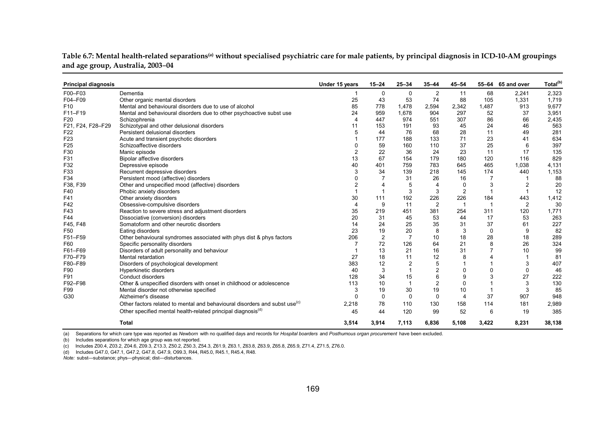| <b>Principal diagnosis</b> |                                                                                        | Under 15 years        | $15 - 24$      | $25 - 34$      | $35 - 44$      | $45 - 54$      |                | 55-64 65 and over | Total <sup>(b)</sup> |
|----------------------------|----------------------------------------------------------------------------------------|-----------------------|----------------|----------------|----------------|----------------|----------------|-------------------|----------------------|
| F00-F03                    | Dementia                                                                               |                       | $\mathbf 0$    | $\mathbf 0$    | 2              | 11             | 68             | 2,241             | 2,323                |
| F04-F09                    | Other organic mental disorders                                                         | 25                    | 43             | 53             | 74             | 88             | 105            | 1,331             | 1,719                |
| F <sub>10</sub>            | Mental and behavioural disorders due to use of alcohol                                 | 85                    | 778            | 1,478          | 2,594          | 2,342          | 1,487          | 913               | 9,677                |
| F11-F19                    | Mental and behavioural disorders due to other psychoactive subst use                   | 24                    | 959            | 1,678          | 904            | 297            | 52             | 37                | 3,951                |
| F <sub>20</sub>            | Schizophrenia                                                                          | $\boldsymbol{\Delta}$ | 447            | 974            | 551            | 307            | 86             | 66                | 2,435                |
| F21, F24, F28-F29          | Schizotypal and other delusional disorders                                             | 11                    | 153            | 191            | 93             | 45             | 24             | 46                | 563                  |
| F <sub>22</sub>            | Persistent delusional disorders                                                        | 5                     | 44             | 76             | 68             | 28             | 11             | 49                | 281                  |
| F <sub>23</sub>            | Acute and transient psychotic disorders                                                |                       | 177            | 188            | 133            | 71             | 23             | 41                | 634                  |
| F <sub>25</sub>            | Schizoaffective disorders                                                              | $\Omega$              | 59             | 160            | 110            | 37             | 25             | 6                 | 397                  |
| F30                        | Manic episode                                                                          | $\overline{2}$        | 22             | 36             | 24             | 23             | 11             | 17                | 135                  |
| F31                        | Bipolar affective disorders                                                            | 13                    | 67             | 154            | 179            | 180            | 120            | 116               | 829                  |
| F32                        | Depressive episode                                                                     | 40                    | 401            | 759            | 783            | 645            | 465            | 1,038             | 4,131                |
| F33                        | Recurrent depressive disorders                                                         | 3                     | 34             | 139            | 218            | 145            | 174            | 440               | 1,153                |
| F34                        | Persistent mood (affective) disorders                                                  | $\Omega$              |                | 31             | 26             | 16             |                |                   | 88                   |
| F38, F39                   | Other and unspecified mood (affective) disorders                                       | $\overline{2}$        |                | 5              | 4              | $\mathbf 0$    | 3              | 2                 | 20                   |
| F40                        | Phobic anxiety disorders                                                               |                       |                | 3              | 3              | $\overline{2}$ | $\overline{1}$ |                   | 12                   |
| F41                        | Other anxiety disorders                                                                | 30                    | 111            | 192            | 226            | 226            | 184            | 443               | 1,412                |
| F42                        | Obsessive-compulsive disorders                                                         | $\overline{4}$        | 9              | 11             | $\overline{2}$ | $\mathbf 1$    | $\overline{1}$ | $\overline{2}$    | 30                   |
| F43                        | Reaction to severe stress and adjustment disorders                                     | 35                    | 219            | 451            | 381            | 254            | 311            | 120               | 1,771                |
| F44                        | Dissociative (conversion) disorders                                                    | 20                    | 31             | 45             | 53             | 44             | 17             | 53                | 263                  |
| F45, F48                   | Somatoform and other neurotic disorders                                                | 14                    | 24             | 25             | 35             | 31             | 37             | 61                | 227                  |
| F50                        | Eating disorders                                                                       | 23                    | 19             | 20             | 8              | 3              | $\mathbf 0$    | 9                 | 82                   |
| F51-F59                    | Other behavioural syndromes associated with phys dist & phys factors                   | 206                   | $\overline{2}$ | $\overline{7}$ | 10             | 18             | 28             | 18                | 289                  |
| F60                        | Specific personality disorders                                                         |                       | 72             | 126            | 64             | 21             | 8              | 26                | 324                  |
| F61-F69                    | Disorders of adult personality and behaviour                                           |                       | 13             | 21             | 16             | 31             |                | 10                | 99                   |
| F70-F79                    | Mental retardation                                                                     | 27                    | 18             | 11             | 12             | 8              |                |                   | 81                   |
| F80-F89                    | Disorders of psychological development                                                 | 383                   | 12             | $\overline{c}$ | 5              |                |                | 3                 | 407                  |
| F90                        | Hyperkinetic disorders                                                                 | 40                    | 3              | 1              | $\overline{2}$ | $\mathbf 0$    | $\mathbf 0$    | $\mathbf 0$       | 46                   |
| F91                        | Conduct disorders                                                                      | 128                   | 34             | 15             | 6              | 9              | 3              | 27                | 222                  |
| F92-F98                    | Other & unspecified disorders with onset in childhood or adolescence                   | 113                   | 10             | $\overline{1}$ | $\overline{2}$ | $\Omega$       |                | 3                 | 130                  |
| F99                        | Mental disorder not otherwise specified                                                | 3                     | 19             | 30             | 19             | 10             |                | 3                 | 85                   |
| G30                        | Alzheimer's disease                                                                    | $\Omega$              | $\mathbf 0$    | $\mathbf 0$    | $\mathbf 0$    | $\overline{4}$ | 37             | 907               | 948                  |
|                            | Other factors related to mental and behavioural disorders and subst use <sup>(c)</sup> | 2,218                 | 78             | 110            | 130            | 158            | 114            | 181               | 2,989                |
|                            | Other specified mental health-related principal diagnosis <sup>(d)</sup>               | 45                    | 44             | 120            | 99             | 52             | 6              | 19                | 385                  |
|                            | <b>Total</b>                                                                           | 3,514                 | 3,914          | 7,113          | 6,836          | 5,108          | 3,422          | 8,231             | 38,138               |

**Table 6.7: Mental health-related separations(a) without specialised psychiatric care for male patients, by principal diagnosis in ICD-10-AM groupings and age group, Australia, 2003**–**04** 

(a) Separations for which care type was reported as *Newborn* with no qualified days and records for *Hospital boarders* and *Posthumous organ procurement* have been excluded.

(b) Includes separations for which age group was not reported.

(c) Includes Z00.4, Z03.2, Z04.6, Z09.3, Z13.3, Z50.2, Z50.3, Z54.3, Z61.9, Z63.1, Z63.8, Z63.9, Z65.8, Z65.9, Z71.4, Z71.5, Z76.0.

(d) Includes G47.0, G47.1, G47.2, G47.8, G47.9, O99.3, R44, R45.0, R45.1, R45.4, R48.

*Note:* subst—substance; phys—physical; dist—disturbances.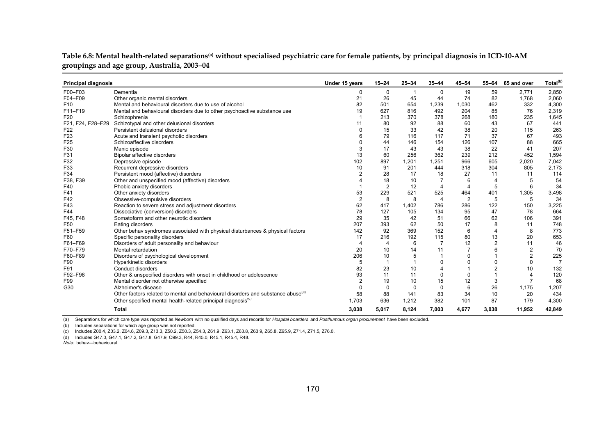| Table 6.8: Mental health-related separations <sup>(a)</sup> without specialised psychiatric care for female patients, by principal diagnosis in ICD-10-AM |  |  |
|-----------------------------------------------------------------------------------------------------------------------------------------------------------|--|--|
| groupings and age group, Australia, 2003-04                                                                                                               |  |  |

| <b>Principal diagnosis</b> |                                                                                              | Under 15 years | $15 - 24$      | $25 - 34$ | $35 - 44$      | $45 - 54$      | 55-64          | 65 and over    | Total <sup>(b)</sup> |
|----------------------------|----------------------------------------------------------------------------------------------|----------------|----------------|-----------|----------------|----------------|----------------|----------------|----------------------|
| F00-F03                    | Dementia                                                                                     | 0              | 0              |           | $\mathbf 0$    | 19             | 59             | 2,771          | 2,850                |
| F04-F09                    | Other organic mental disorders                                                               | 21             | 26             | 45        | 44             | 74             | 82             | 1.768          | 2,060                |
| F <sub>10</sub>            | Mental and behavioural disorders due to use of alcohol                                       | 82             | 501            | 654       | 1,239          | 1,030          | 462            | 332            | 4,300                |
| F11-F19                    | Mental and behavioural disorders due to other psychoactive substance use                     | 19             | 627            | 816       | 492            | 204            | 85             | 76             | 2,319                |
| F <sub>20</sub>            | Schizophrenia                                                                                |                | 213            | 370       | 378            | 268            | 180            | 235            | 1,645                |
| F21, F24, F28-F29          | Schizotypal and other delusional disorders                                                   | 11             | 80             | 92        | 88             | 60             | 43             | 67             | 441                  |
| F <sub>22</sub>            | Persistent delusional disorders                                                              | $\Omega$       | 15             | 33        | 42             | 38             | 20             | 115            | 263                  |
| F <sub>23</sub>            | Acute and transient psychotic disorders                                                      | 6              | 79             | 116       | 117            | 71             | 37             | 67             | 493                  |
| F <sub>25</sub>            | Schizoaffective disorders                                                                    | $\Omega$       | 44             | 146       | 154            | 126            | 107            | 88             | 665                  |
| F30                        | Manic episode                                                                                | 3              | 17             | 43        | 43             | 38             | 22             | 41             | 207                  |
| F31                        | Bipolar affective disorders                                                                  | 13             | 60             | 256       | 362            | 239            | 212            | 452            | 1,594                |
| F32                        | Depressive episode                                                                           | 102            | 897            | 1,201     | 1,251          | 966            | 605            | 2,020          | 7,042                |
| F33                        | Recurrent depressive disorders                                                               | 10             | 91             | 201       | 444            | 318            | 304            | 805            | 2,173                |
| F34                        | Persistent mood (affective) disorders                                                        | $\overline{2}$ | 28             | 17        | 18             | 27             | 11             | 11             | 114                  |
| F38, F39                   | Other and unspecified mood (affective) disorders                                             |                | 18             | 10        | 7              | 6              | $\overline{4}$ | 5              | 54                   |
| F40                        | Phobic anxiety disorders                                                                     |                | $\overline{2}$ | 12        | $\overline{4}$ | $\overline{4}$ | 5              | 6              | 34                   |
| F41                        | Other anxiety disorders                                                                      | 53             | 229            | 521       | 525            | 464            | 401            | 1,305          | 3,498                |
| F42                        | Obsessive-compulsive disorders                                                               | $\overline{2}$ | 8              | 8         | $\overline{4}$ | $\overline{2}$ | 5              | 5              | 34                   |
| F43                        | Reaction to severe stress and adjustment disorders                                           | 62             | 417            | 1,402     | 786            | 286            | 122            | 150            | 3,225                |
| F44                        | Dissociative (conversion) disorders                                                          | 78             | 127            | 105       | 134            | 95             | 47             | 78             | 664                  |
| F45, F48                   | Somatoform and other neurotic disorders                                                      | 29             | 35             | 42        | 51             | 66             | 62             | 106            | 391                  |
| F <sub>50</sub>            | Eating disorders                                                                             | 207            | 393            | 62        | 50             | 17             | 8              | 11             | 748                  |
| F51-F59                    | Other behav syndromes associated with physical disturbances & physical factors               | 142            | 92             | 369       | 152            | 6              | $\overline{4}$ | 8              | 773                  |
| F60                        | Specific personality disorders                                                               | 17             | 216            | 192       | 115            | 80             | 13             | 20             | 653                  |
| F61-F69                    | Disorders of adult personality and behaviour                                                 | $\overline{4}$ | $\overline{4}$ | 6         | $\overline{7}$ | 12             | $\overline{2}$ | 11             | 46                   |
| F70-F79                    | Mental retardation                                                                           | 20             | 10             | 14        | 11             | $\overline{7}$ | 6              | $\overline{2}$ | 70                   |
| F80-F89                    | Disorders of psychological development                                                       | 206            | 10             | 5         | $\mathbf{1}$   | 0              |                | $\overline{2}$ | 225                  |
| F90                        | Hyperkinetic disorders                                                                       | 5              | $\mathbf 1$    | -1        | 0              | 0              | 0              | $\Omega$       | $\overline{7}$       |
| F91                        | Conduct disorders                                                                            | 82             | 23             | 10        | $\overline{4}$ |                | 2              | 10             | 132                  |
| F92-F98                    | Other & unspecified disorders with onset in childhood or adolescence                         | 93             | 11             | 11        | $\mathbf 0$    | 0              |                | 4              | 120                  |
| F99                        | Mental disorder not otherwise specified                                                      |                | 19             | 10        | 15             | 12             | 3              |                | 68                   |
| G30                        | Alzheimer's disease                                                                          | $\Omega$       | 0              | $\Omega$  | $\Omega$       | 6              | 26             | 1,175          | 1,207                |
|                            | Other factors related to mental and behavioural disorders and substance abuse <sup>(c)</sup> | 58             | 88             | 141       | 83             | 34             | 10             | 20             | 434                  |
|                            | Other specified mental health-related principal diagnosis <sup>(0)</sup>                     | 1.703          | 636            | 1,212     | 382            | 101            | 87             | 179            | 4,300                |
|                            | <b>Total</b>                                                                                 | 3,038          | 5,017          | 8,124     | 7,003          | 4,677          | 3,038          | 11,952         | 42,849               |

(a) Separations for which care type was reported as *Newborn* with no qualified days and records for *Hospital boarders* and *Posthumous organ procurement* have been excluded.

(b) Includes separations for which age group was not reported.<br>(c) Includes Z00.4, Z03.2, Z04.6, Z09.3, Z13.3, Z50.2, Z50.3, Z54.3, Z61.9, Z63.1, Z63.8, Z63.9, Z65.8, Z65.9, Z71.4, Z71.5, Z76.0.

(d) Includes G47.0, G47.1, G47.2, G47.8, G47.9, O99.3, R44, R45.0, R45.1, R45.4, R48.

*Note:* behav—behavioural.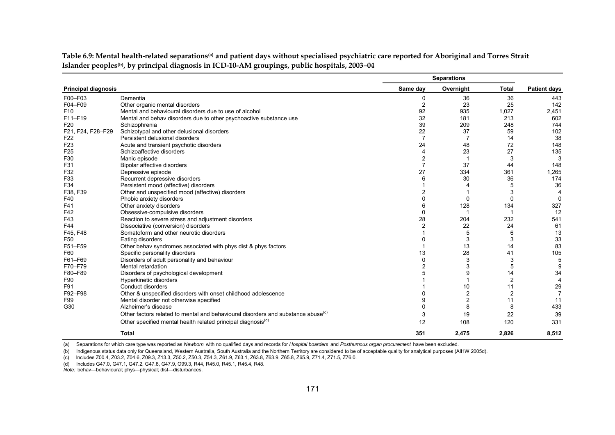|                            |                                                                                              |                | <b>Separations</b> |                |                     |
|----------------------------|----------------------------------------------------------------------------------------------|----------------|--------------------|----------------|---------------------|
| <b>Principal diagnosis</b> |                                                                                              | Same day       | Overnight          | <b>Total</b>   | <b>Patient days</b> |
| F00-F03                    | Dementia                                                                                     | 0              | 36                 | 36             | 443                 |
| F04-F09                    | Other organic mental disorders                                                               | $\overline{c}$ | 23                 | 25             | 142                 |
| F <sub>10</sub>            | Mental and behavioural disorders due to use of alcohol                                       | 92             | 935                | 1,027          | 2,451               |
| F11-F19                    | Mental and behav disorders due to other psychoactive substance use                           | 32             | 181                | 213            | 602                 |
| F <sub>20</sub>            | Schizophrenia                                                                                | 39             | 209                | 248            | 744                 |
| F21, F24, F28-F29          | Schizotypal and other delusional disorders                                                   | 22             | 37                 | 59             | 102                 |
| F <sub>22</sub>            | Persistent delusional disorders                                                              |                |                    | 14             | 38                  |
| F <sub>23</sub>            | Acute and transient psychotic disorders                                                      | 24             | 48                 | 72             | 148                 |
| F <sub>25</sub>            | Schizoaffective disorders                                                                    | 4              | 23                 | 27             | 135                 |
| F30                        | Manic episode                                                                                | 2              | $\overline{1}$     | 3              | 3                   |
| F31                        | Bipolar affective disorders                                                                  |                | 37                 | 44             | 148                 |
| F32                        | Depressive episode                                                                           | 27             | 334                | 361            | 1,265               |
| F33                        | Recurrent depressive disorders                                                               | 6              | 30                 | 36             | 174                 |
| F34                        | Persistent mood (affective) disorders                                                        |                |                    | 5              | 36                  |
| F38, F39                   | Other and unspecified mood (affective) disorders                                             | 2              |                    | 3              | $\overline{4}$      |
| F40                        | Phobic anxiety disorders                                                                     |                | 0                  | 0              | $\Omega$            |
| F41                        | Other anxiety disorders                                                                      | 6              | 128                | 134            | 327                 |
| F42                        | Obsessive-compulsive disorders                                                               |                |                    |                | 12                  |
| F43                        | Reaction to severe stress and adjustment disorders                                           | 28             | 204                | 232            | 541                 |
| F44                        | Dissociative (conversion) disorders                                                          |                | 22                 | 24             | 61                  |
| F45, F48                   | Somatoform and other neurotic disorders                                                      |                | 5                  | 6              | 13                  |
| F50                        | Eating disorders                                                                             |                | 3                  | 3              | 33                  |
| F51-F59                    | Other behav syndromes associated with phys dist & phys factors                               |                | 13                 | 14             | 83                  |
| F60                        | Specific personality disorders                                                               | 13             | 28                 | 41             | 105                 |
| F61-F69                    | Disorders of adult personality and behaviour                                                 |                | 3                  | 3              | 5                   |
| F70-F79                    | Mental retardation                                                                           |                | 3                  | 5              | 9                   |
| F80-F89                    | Disorders of psychological development                                                       |                | 9                  | 14             | 34                  |
| F90                        | Hyperkinetic disorders                                                                       |                |                    | $\overline{2}$ | $\overline{4}$      |
| F91                        | Conduct disorders                                                                            |                | 10                 | 11             | 29                  |
| F92-F98                    | Other & unspecified disorders with onset childhood adolescence                               |                | 2                  | $\overline{2}$ | $\overline{7}$      |
| F99                        | Mental disorder not otherwise specified                                                      | 9              | $\overline{c}$     | 11             | 11                  |
| G30                        | Alzheimer's disease                                                                          | 0              | 8                  | 8              | 433                 |
|                            | Other factors related to mental and behavioural disorders and substance abuse <sup>(c)</sup> | 3              | 19                 | 22             | 39                  |
|                            | Other specified mental health related principal diagnosis <sup>(d)</sup>                     | 12             | 108                | 120            | 331                 |
|                            | <b>Total</b>                                                                                 | 351            | 2,475              | 2,826          | 8,512               |

**Table 6.9: Mental health-related separations(a) and patient days without specialised psychiatric care reported for Aboriginal and Torres Strait Islander peoples(b), by principal diagnosis in ICD-10-AM groupings, public hospitals, 2003**–**04**

(a) Separations for which care type was reported as *Newborn* with no qualified days and records for *Hospital boarders* and *Posthumous organ procurement* have been excluded.

(b) Indigenous status data only for Queensland, Western Australia, South Australia and the Northern Territory are considered to be of acceptable quality for analytical purposes (AIHW 2005d).

(c) Includes Z00.4, Z03.2, Z04.6, Z09.3, Z13.3, Z50.2, Z50.3, Z54.3, Z61.9, Z63.1, Z63.8, Z63.9, Z65.8, Z65.9, Z71.4, Z71.5, Z76.0.

(d) Includes G47.0, G47.1, G47.2, G47.8, G47.9, O99.3, R44, R45.0, R45.1, R45.4, R48.

*Note:* behav—behavioural; phys—physical; dist—disturbances.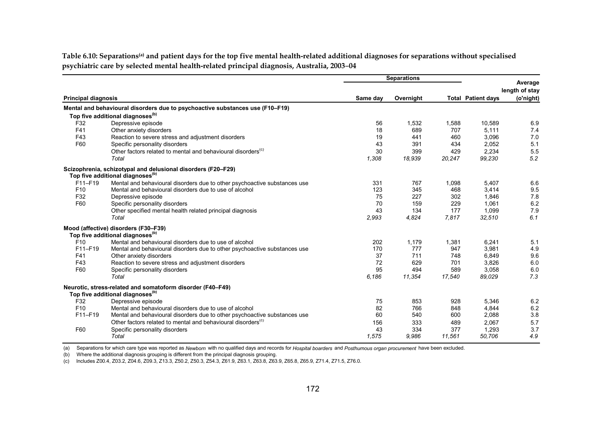Table 6.10: Separations<sup>(a)</sup> and patient days for the top five mental health-related additional diagnoses for separations without specialised **psychiatric care by selected mental health-related principal diagnosis, Australia, 2003**–**04** 

|                            |                                                                               | <b>Separations</b> |           |        |                           |                           |
|----------------------------|-------------------------------------------------------------------------------|--------------------|-----------|--------|---------------------------|---------------------------|
|                            |                                                                               |                    |           |        |                           | Average<br>length of stay |
| <b>Principal diagnosis</b> |                                                                               | Same day           | Overnight |        | <b>Total Patient days</b> | (o'night)                 |
|                            | Mental and behavioural disorders due to psychoactive substances use (F10-F19) |                    |           |        |                           |                           |
|                            | Top five additional diagnoses <sup>(b)</sup>                                  |                    |           |        |                           |                           |
| F32                        | Depressive episode                                                            | 56                 | 1,532     | 1,588  | 10,589                    | 6.9                       |
| F41                        | Other anxiety disorders                                                       | 18                 | 689       | 707    | 5,111                     | 7.4                       |
| F43                        | Reaction to severe stress and adjustment disorders                            | 19                 | 441       | 460    | 3,096                     | 7.0                       |
| F60                        | Specific personality disorders                                                | 43                 | 391       | 434    | 2,052                     | 5.1                       |
|                            | Other factors related to mental and behavioural disorders <sup>(c)</sup>      | 30                 | 399       | 429    | 2.234                     | 5.5                       |
|                            | Total                                                                         | 1,308              | 18,939    | 20,247 | 99,230                    | 5.2                       |
|                            | Scizophrenia, schizotypal and delusional disorders (F20-F29)                  |                    |           |        |                           |                           |
|                            | Top five additional diagnoses <sup>(b)</sup>                                  |                    |           |        |                           |                           |
| F11-F19                    | Mental and behavioural disorders due to other psychoactive substances use     | 331                | 767       | 1,098  | 5,407                     | 6.6                       |
| F <sub>10</sub>            | Mental and behavioural disorders due to use of alcohol                        | 123                | 345       | 468    | 3,414                     | 9.5                       |
| F32                        | Depressive episode                                                            | 75                 | 227       | 302    | 1.846                     | 7.8                       |
| F60                        | Specific personality disorders                                                | 70                 | 159       | 229    | 1,061                     | 6.2                       |
|                            | Other specified mental health related principal diagnosis                     | 43                 | 134       | 177    | 1,099                     | 7.9                       |
|                            | Total                                                                         | 2,993              | 4,824     | 7,817  | 32,510                    | 6.1                       |
|                            | Mood (affective) disorders (F30-F39)                                          |                    |           |        |                           |                           |
|                            | Top five additional diagnoses <sup>(b)</sup>                                  |                    |           |        |                           |                           |
| F10                        | Mental and behavioural disorders due to use of alcohol                        | 202                | 1,179     | 1,381  | 6,241                     | 5.1                       |
| F11-F19                    | Mental and behavioural disorders due to other psychoactive substances use     | 170                | 777       | 947    | 3,981                     | 4.9                       |
| F41                        | Other anxiety disorders                                                       | 37                 | 711       | 748    | 6.849                     | 9.6                       |
| F43                        | Reaction to severe stress and adjustment disorders                            | 72                 | 629       | 701    | 3,826                     | 6.0                       |
| F60                        | Specific personality disorders                                                | 95                 | 494       | 589    | 3,058                     | 6.0                       |
|                            | Total                                                                         | 6,186              | 11,354    | 17,540 | 89,029                    | 7.3                       |
|                            | Neurotic, stress-related and somatoform disorder (F40–F49)                    |                    |           |        |                           |                           |
|                            | Top five additional diagnoses <sup>(b)</sup>                                  |                    |           |        |                           |                           |
| F32                        | Depressive episode                                                            | 75                 | 853       | 928    | 5.346                     | 6.2                       |
| F <sub>10</sub>            | Mental and behavioural disorders due to use of alcohol                        | 82                 | 766       | 848    | 4,844                     | 6.2                       |
| F11-F19                    | Mental and behavioural disorders due to other psychoactive substances use     | 60                 | 540       | 600    | 2,088                     | 3.8                       |
|                            | Other factors related to mental and behavioural disorders <sup>(c)</sup>      | 156                | 333       | 489    | 2,067                     | 5.7                       |
| F60                        | Specific personality disorders                                                | 43                 | 334       | 377    | 1,293                     | 3.7                       |
|                            | Total                                                                         | 1,575              | 9.986     | 11,561 | 50.706                    | 4.9                       |

(a) Separations for which care type was reported as *Newborn* with no qualified days and records for *Hospital boarders* and *Posthumous organ procurement* have been excluded.

(b) Where the additional diagnosis grouping is different from the principal diagnosis grouping.

(c) Includes Z00.4, Z03.2, Z04.6, Z09.3, Z13.3, Z50.2, Z50.3, Z54.3, Z61.9, Z63.1, Z63.8, Z63.9, Z65.8, Z65.9, Z71.4, Z71.5, Z76.0.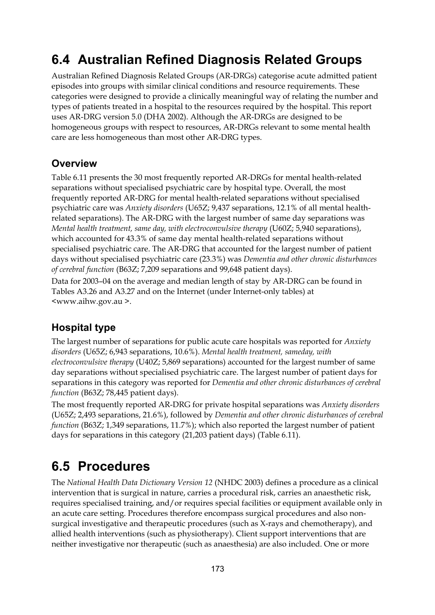# **6.4 Australian Refined Diagnosis Related Groups**

Australian Refined Diagnosis Related Groups (AR-DRGs) categorise acute admitted patient episodes into groups with similar clinical conditions and resource requirements. These categories were designed to provide a clinically meaningful way of relating the number and types of patients treated in a hospital to the resources required by the hospital. This report uses AR-DRG version 5.0 (DHA 2002). Although the AR-DRGs are designed to be homogeneous groups with respect to resources, AR-DRGs relevant to some mental health care are less homogeneous than most other AR-DRG types.

#### **Overview**

Table 6.11 presents the 30 most frequently reported AR-DRGs for mental health-related separations without specialised psychiatric care by hospital type. Overall, the most frequently reported AR-DRG for mental health-related separations without specialised psychiatric care was *Anxiety disorders* (U65Z; 9,437 separations, 12.1% of all mental healthrelated separations). The AR-DRG with the largest number of same day separations was *Mental health treatment, same day, with electroconvulsive therapy* (U60Z; 5,940 separations), which accounted for 43.3% of same day mental health-related separations without specialised psychiatric care. The AR-DRG that accounted for the largest number of patient days without specialised psychiatric care (23.3%) was *Dementia and other chronic disturbances of cerebral function* (B63Z; 7,209 separations and 99,648 patient days).

Data for 2003–04 on the average and median length of stay by AR-DRG can be found in Tables A3.26 and A3.27 and on the Internet (under Internet-only tables) at <www.aihw.gov.au >.

### **Hospital type**

The largest number of separations for public acute care hospitals was reported for *Anxiety disorders* (U65Z; 6,943 separations, 10.6%). *Mental health treatment, sameday, with electroconvulsive therapy* (U40Z; 5,869 separations) accounted for the largest number of same day separations without specialised psychiatric care. The largest number of patient days for separations in this category was reported for *Dementia and other chronic disturbances of cerebral function* (B63Z; 78,445 patient days).

The most frequently reported AR-DRG for private hospital separations was *Anxiety disorders* (U65Z; 2,493 separations, 21.6%), followed by *Dementia and other chronic disturbances of cerebral function* (B63Z; 1,349 separations, 11.7%); which also reported the largest number of patient days for separations in this category (21,203 patient days) (Table 6.11).

# **6.5 Procedures**

The *National Health Data Dictionary Version 12* (NHDC 2003) defines a procedure as a clinical intervention that is surgical in nature, carries a procedural risk, carries an anaesthetic risk, requires specialised training, and/or requires special facilities or equipment available only in an acute care setting. Procedures therefore encompass surgical procedures and also nonsurgical investigative and therapeutic procedures (such as X-rays and chemotherapy), and allied health interventions (such as physiotherapy). Client support interventions that are neither investigative nor therapeutic (such as anaesthesia) are also included. One or more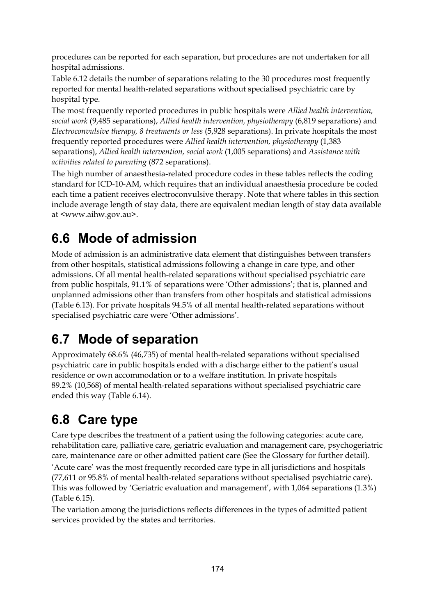procedures can be reported for each separation, but procedures are not undertaken for all hospital admissions.

Table 6.12 details the number of separations relating to the 30 procedures most frequently reported for mental health-related separations without specialised psychiatric care by hospital type.

The most frequently reported procedures in public hospitals were *Allied health intervention, social work* (9,485 separations), *Allied health intervention, physiotherapy* (6,819 separations) and *Electroconvulsive therapy, 8 treatments or less* (5,928 separations). In private hospitals the most frequently reported procedures were *Allied health intervention, physiotherapy* (1,383 separations), *Allied health intervention, social work* (1,005 separations) and *Assistance with activities related to parenting* (872 separations).

The high number of anaesthesia-related procedure codes in these tables reflects the coding standard for ICD-10-AM, which requires that an individual anaesthesia procedure be coded each time a patient receives electroconvulsive therapy. Note that where tables in this section include average length of stay data, there are equivalent median length of stay data available at <www.aihw.gov.au>.

# **6.6 Mode of admission**

Mode of admission is an administrative data element that distinguishes between transfers from other hospitals, statistical admissions following a change in care type, and other admissions. Of all mental health-related separations without specialised psychiatric care from public hospitals, 91.1% of separations were 'Other admissions'; that is, planned and unplanned admissions other than transfers from other hospitals and statistical admissions (Table 6.13). For private hospitals 94.5% of all mental health-related separations without specialised psychiatric care were 'Other admissions'.

# **6.7 Mode of separation**

Approximately 68.6% (46,735) of mental health-related separations without specialised psychiatric care in public hospitals ended with a discharge either to the patient's usual residence or own accommodation or to a welfare institution. In private hospitals 89.2% (10,568) of mental health-related separations without specialised psychiatric care ended this way (Table 6.14).

# **6.8 Care type**

Care type describes the treatment of a patient using the following categories: acute care, rehabilitation care, palliative care, geriatric evaluation and management care, psychogeriatric care, maintenance care or other admitted patient care (See the Glossary for further detail).

'Acute care' was the most frequently recorded care type in all jurisdictions and hospitals (77,611 or 95.8% of mental health-related separations without specialised psychiatric care). This was followed by 'Geriatric evaluation and management', with 1,064 separations (1.3%) (Table 6.15).

The variation among the jurisdictions reflects differences in the types of admitted patient services provided by the states and territories.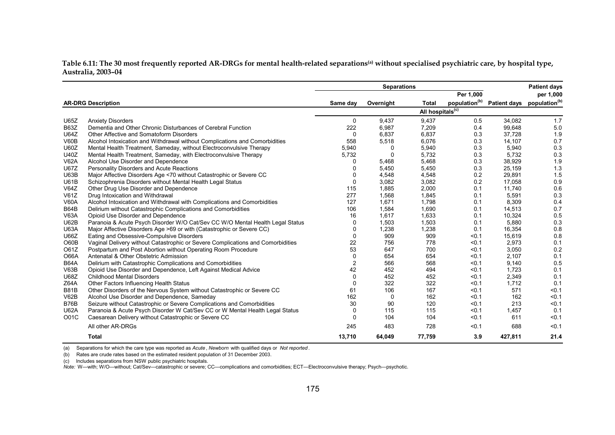Table 6.11: The 30 most frequently reported AR-DRGs for mental health-related separations<sup>(a)</sup> without specialised psychiatric care, by hospital type, **Australia, 2003–04** 

|             |                                                                                 |                         | <b>Separations</b> |                              |           |                                                                  | <b>Patient days</b> |
|-------------|---------------------------------------------------------------------------------|-------------------------|--------------------|------------------------------|-----------|------------------------------------------------------------------|---------------------|
|             |                                                                                 |                         |                    |                              | Per 1,000 |                                                                  | per 1,000           |
|             | <b>AR-DRG Description</b>                                                       | Same day                | Overnight          | <b>Total</b>                 |           | population <sup>(b)</sup> Patient days population <sup>(b)</sup> |                     |
|             |                                                                                 |                         |                    | All hospitals <sup>(c)</sup> |           |                                                                  |                     |
| U65Z        | <b>Anxiety Disorders</b>                                                        | 0                       | 9,437              | 9,437                        | 0.5       | 34,082                                                           | 1.7                 |
| <b>B63Z</b> | Dementia and Other Chronic Disturbances of Cerebral Function                    | 222                     | 6,987              | 7,209                        | 0.4       | 99,648                                                           | 5.0                 |
| <b>U64Z</b> | Other Affective and Somatoform Disorders                                        | 0                       | 6,837              | 6,837                        | 0.3       | 37,728                                                           | 1.9                 |
| V60B        | Alcohol Intoxication and Withdrawal without Complications and Comorbidities     | 558                     | 5,518              | 6,076                        | 0.3       | 14,107                                                           | 0.7                 |
| <b>U60Z</b> | Mental Health Treatment, Sameday, without Electroconvulsive Therapy             | 5,940                   | 0                  | 5,940                        | 0.3       | 5,940                                                            | 0.3                 |
| U40Z        | Mental Health Treatment, Sameday, with Electroconvulsive Therapy                | 5,732                   | $\Omega$           | 5,732                        | 0.3       | 5,732                                                            | 0.3                 |
| <b>V62A</b> | Alcohol Use Disorder and Dependence                                             | 0                       | 5,468              | 5,468                        | 0.3       | 38,929                                                           | 1.9                 |
| <b>U67Z</b> | Personality Disorders and Acute Reactions                                       | $\Omega$                | 5,450              | 5,450                        | 0.3       | 25,159                                                           | 1.3                 |
| U63B        | Major Affective Disorders Age <70 without Catastrophic or Severe CC             | 0                       | 4.548              | 4,548                        | 0.2       | 29.891                                                           | 1.5                 |
| <b>U61B</b> | Schizophrenia Disorders without Mental Health Legal Status                      | 0                       | 3,082              | 3,082                        | 0.2       | 17,058                                                           | 0.9                 |
| V64Z        | Other Drug Use Disorder and Dependence                                          | 115                     | 1,885              | 2,000                        | 0.1       | 11,740                                                           | 0.6                 |
| <b>V61Z</b> | Drug Intoxication and Withdrawal                                                | 277                     | 1,568              | 1,845                        | 0.1       | 5,591                                                            | 0.3                 |
| <b>V60A</b> | Alcohol Intoxication and Withdrawal with Complications and Comorbidities        | 127                     | 1,671              | 1,798                        | 0.1       | 8,309                                                            | 0.4                 |
| <b>B64B</b> | Delirium without Catastrophic Complications and Comorbidities                   | 106                     | 1,584              | 1,690                        | 0.1       | 14,513                                                           | 0.7                 |
| V63A        | Opioid Use Disorder and Dependence                                              | 16                      | 1,617              | 1.633                        | 0.1       | 10,324                                                           | 0.5                 |
| U62B        | Paranoia & Acute Psych Disorder W/O Cat/Sev CC W/O Mental Health Legal Status   | 0                       | 1,503              | 1,503                        | 0.1       | 5,880                                                            | 0.3                 |
| <b>U63A</b> | Major Affective Disorders Age >69 or with (Catastrophic or Severe CC)           | 0                       | 1,238              | 1,238                        | 0.1       | 16,354                                                           | 0.8                 |
| U66Z        | Eating and Obsessive-Compulsive Disorders                                       | 0                       | 909                | 909                          | < 0.1     | 15,619                                                           | 0.8                 |
| O60B        | Vaginal Delivery without Catastrophic or Severe Complications and Comorbidities | 22                      | 756                | 778                          | < 0.1     | 2,973                                                            | 0.1                 |
| O61Z        | Postpartum and Post Abortion without Operating Room Procedure                   | 53                      | 647                | 700                          | < 0.1     | 3,050                                                            | 0.2                 |
| <b>O66A</b> | Antenatal & Other Obstetric Admission                                           | 0                       | 654                | 654                          | < 0.1     | 2,107                                                            | 0.1                 |
| <b>B64A</b> | Delirium with Catastrophic Complications and Comorbidities                      | $\overline{\mathbf{c}}$ | 566                | 568                          | < 0.1     | 9,140                                                            | 0.5                 |
| V63B        | Opioid Use Disorder and Dependence, Left Against Medical Advice                 | 42                      | 452                | 494                          | < 0.1     | 1,723                                                            | 0.1                 |
| U68Z        | <b>Childhood Mental Disorders</b>                                               | 0                       | 452                | 452                          | < 0.1     | 2,349                                                            | 0.1                 |
| Z64A        | Other Factors Influencing Health Status                                         | $\Omega$                | 322                | 322                          | < 0.1     | 1,712                                                            | 0.1                 |
| <b>B81B</b> | Other Disorders of the Nervous System without Catastrophic or Severe CC         | 61                      | 106                | 167                          | < 0.1     | 571                                                              | < 0.1               |
| V62B        | Alcohol Use Disorder and Dependence, Sameday                                    | 162                     | 0                  | 162                          | < 0.1     | 162                                                              | < 0.1               |
| <b>B76B</b> | Seizure without Catastrophic or Severe Complications and Comorbidities          | 30                      | 90                 | 120                          | < 0.1     | 213                                                              | < 0.1               |
| <b>U62A</b> | Paranoia & Acute Psych Disorder W Cat/Sev CC or W Mental Health Legal Status    | 0                       | 115                | 115                          | < 0.1     | 1,457                                                            | 0.1                 |
| O01C        | Caesarean Delivery without Catastrophic or Severe CC                            | $\Omega$                | 104                | 104                          | < 0.1     | 611                                                              | < 0.1               |
|             | All other AR-DRGs                                                               | 245                     | 483                | 728                          | < 0.1     | 688                                                              | < 0.1               |
|             | Total                                                                           | 13,710                  | 64.049             | 77,759                       | 3.9       | 427,811                                                          | 21.4                |

(a) Separations for which the care type was reported as *Acute* , *Newborn* with qualified days or *Not reported* .

(b) Rates are crude rates based on the estimated resident population of 31 December 2003.

(c) Includes separations from NSW public psychiatric hospitals.

*Note:* W—with; W/O—without; Cat/Sev—catastrophic or severe; CC—complications and comorbidities; ECT—Electroconvulsive therapy; Psych—psychotic.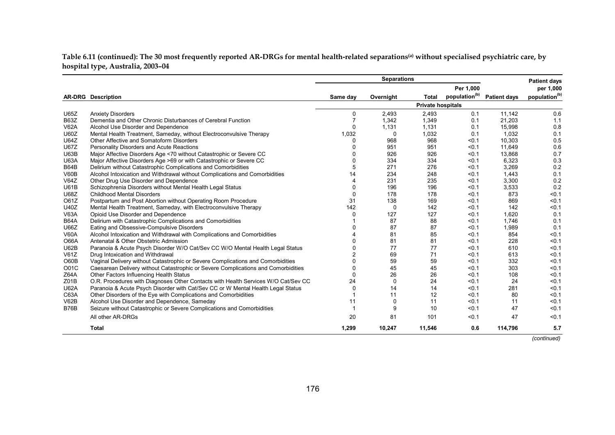**Table 6.11 (continued): The 30 most frequently reported AR-DRGs for mental health-related separations(a) without specialised psychiatric care, by hospital type, Australia, 2003–04**

|             |                                                                                   |          | <b>Separations</b> |                          |                           |                     | <b>Patient days</b>       |
|-------------|-----------------------------------------------------------------------------------|----------|--------------------|--------------------------|---------------------------|---------------------|---------------------------|
|             |                                                                                   |          |                    |                          | Per 1,000                 |                     | per 1,000                 |
|             | <b>AR-DRG</b> Description                                                         | Same day | Overnight          | <b>Total</b>             | population <sup>(b)</sup> | <b>Patient days</b> | population <sup>(b)</sup> |
|             |                                                                                   |          |                    | <b>Private hospitals</b> |                           |                     |                           |
| U65Z        | <b>Anxiety Disorders</b>                                                          | $\Omega$ | 2,493              | 2,493                    | 0.1                       | 11,142              | 0.6                       |
| <b>B63Z</b> | Dementia and Other Chronic Disturbances of Cerebral Function                      |          | 1,342              | 1,349                    | 0.1                       | 21,203              | 1.1                       |
| <b>V62A</b> | Alcohol Use Disorder and Dependence                                               | $\Omega$ | 1,131              | 1,131                    | 0.1                       | 15,998              | 0.8                       |
| <b>U60Z</b> | Mental Health Treatment, Sameday, without Electroconvulsive Therapy               | 1,032    | 0                  | 1,032                    | 0.1                       | 1,032               | 0.1                       |
| <b>U64Z</b> | Other Affective and Somatoform Disorders                                          | $\Omega$ | 968                | 968                      | < 0.1                     | 10,303              | 0.5                       |
| <b>U67Z</b> | Personality Disorders and Acute Reactions                                         | 0        | 951                | 951                      | < 0.1                     | 11.649              | 0.6                       |
| U63B        | Major Affective Disorders Age <70 without Catastrophic or Severe CC               | $\Omega$ | 926                | 926                      | < 0.1                     | 13,868              | 0.7                       |
| <b>U63A</b> | Major Affective Disorders Age >69 or with Catastrophic or Severe CC               | $\Omega$ | 334                | 334                      | < 0.1                     | 6,323               | 0.3                       |
| <b>B64B</b> | Delirium without Catastrophic Complications and Comorbidities                     | 5        | 271                | 276                      | < 0.1                     | 3,269               | 0.2                       |
| V60B        | Alcohol Intoxication and Withdrawal without Complications and Comorbidities       | 14       | 234                | 248                      | < 0.1                     | 1,443               | 0.1                       |
| V64Z        | Other Drug Use Disorder and Dependence                                            | 4        | 231                | 235                      | < 0.1                     | 3,300               | 0.2                       |
| <b>U61B</b> | Schizophrenia Disorders without Mental Health Legal Status                        | 0        | 196                | 196                      | < 0.1                     | 3,533               | 0.2                       |
| U68Z        | <b>Childhood Mental Disorders</b>                                                 | $\Omega$ | 178                | 178                      | < 0.1                     | 873                 | < 0.1                     |
| O61Z        | Postpartum and Post Abortion without Operating Room Procedure                     | 31       | 138                | 169                      | < 0.1                     | 869                 | < 0.1                     |
| <b>U40Z</b> | Mental Health Treatment, Sameday, with Electroconvulsive Therapy                  | 142      | 0                  | 142                      | < 0.1                     | 142                 | < 0.1                     |
| <b>V63A</b> | Opioid Use Disorder and Dependence                                                | $\Omega$ | 127                | 127                      | < 0.1                     | 1,620               | 0.1                       |
| <b>B64A</b> | Delirium with Catastrophic Complications and Comorbidities                        |          | 87                 | 88                       | < 0.1                     | 1,746               | 0.1                       |
| U66Z        | Eating and Obsessive-Compulsive Disorders                                         |          | 87                 | 87                       | < 0.1                     | 1,989               | 0.1                       |
| <b>V60A</b> | Alcohol Intoxication and Withdrawal with Complications and Comorbidities          |          | 81                 | 85                       | < 0.1                     | 854                 | < 0.1                     |
| O66A        | Antenatal & Other Obstetric Admission                                             | $\Omega$ | 81                 | 81                       | < 0.1                     | 228                 | < 0.1                     |
| U62B        | Paranoia & Acute Psych Disorder W/O Cat/Sev CC W/O Mental Health Legal Status     |          | 77                 | 77                       | < 0.1                     | 610                 | < 0.1                     |
| V61Z        | Drug Intoxication and Withdrawal                                                  |          | 69                 | 71                       | < 0.1                     | 613                 | < 0.1                     |
| O60B        | Vaginal Delivery without Catastrophic or Severe Complications and Comorbidities   | $\Omega$ | 59                 | 59                       | < 0.1                     | 332                 | < 0.1                     |
| O01C        | Caesarean Delivery without Catastrophic or Severe Complications and Comorbidities | O        | 45                 | 45                       | < 0.1                     | 303                 | < 0.1                     |
| Z64A        | Other Factors Influencing Health Status                                           | $\Omega$ | 26                 | 26                       | < 0.1                     | 108                 | < 0.1                     |
| Z01B        | O.R. Procedures with Diagnoses Other Contacts with Health Services W/O Cat/Sev CC | 24       | $\Omega$           | 24                       | < 0.1                     | 24                  | < 0.1                     |
| <b>U62A</b> | Paranoia & Acute Psych Disorder with Cat/Sev CC or W Mental Health Legal Status   | $\Omega$ | 14                 | 14                       | < 0.1                     | 281                 | < 0.1                     |
| C63A        | Other Disorders of the Eye with Complications and Comorbidities                   |          | 11                 | 12                       | < 0.1                     | 80                  | < 0.1                     |
| V62B        | Alcohol Use Disorder and Dependence, Sameday                                      | 11       | $\mathbf 0$        | 11                       | < 0.1                     | 11                  | < 0.1                     |
| <b>B76B</b> | Seizure without Catastrophic or Severe Complications and Comorbidities            |          | 9                  | 10                       | < 0.1                     | 47                  | < 0.1                     |
|             | All other AR-DRGs                                                                 | 20       | 81                 | 101                      | < 0.1                     | 47                  | < 0.1                     |
|             | Total                                                                             | 1,299    | 10,247             | 11,546                   | 0.6                       | 114,796             | 5.7                       |

*(continued)*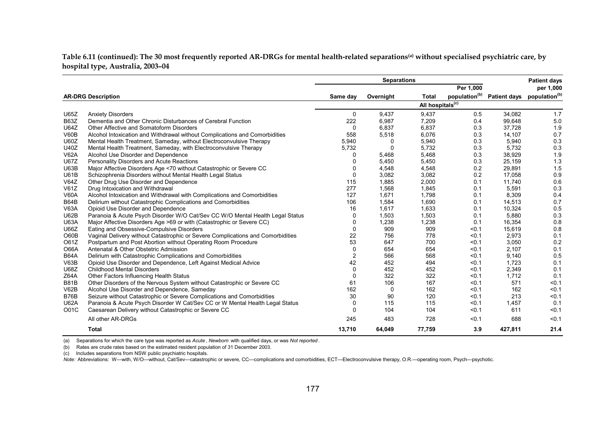Table 6.11 (continued): The 30 most frequently reported AR-DRGs for mental health-related separations<sup>(a)</sup> without specialised psychiatric care, by **hospital type, Australia, 2003–04** 

|             |                                                                                 |             | <b>Separations</b> |                              |                           |         | <b>Patient days</b>                    |
|-------------|---------------------------------------------------------------------------------|-------------|--------------------|------------------------------|---------------------------|---------|----------------------------------------|
|             |                                                                                 |             |                    |                              | Per 1,000                 |         | per 1,000                              |
|             | <b>AR-DRG Description</b>                                                       | Same day    | Overnight          | <b>Total</b>                 | population <sup>(b)</sup> |         | Patient days population <sup>(b)</sup> |
|             |                                                                                 |             |                    | All hospitals <sup>(c)</sup> |                           |         |                                        |
| <b>U65Z</b> | <b>Anxiety Disorders</b>                                                        | $\Omega$    | 9,437              | 9,437                        | 0.5                       | 34,082  | 1.7                                    |
| <b>B63Z</b> | Dementia and Other Chronic Disturbances of Cerebral Function                    | 222         | 6,987              | 7,209                        | 0.4                       | 99,648  | 5.0                                    |
| <b>U64Z</b> | Other Affective and Somatoform Disorders                                        | 0           | 6,837              | 6,837                        | 0.3                       | 37,728  | 1.9                                    |
| V60B        | Alcohol Intoxication and Withdrawal without Complications and Comorbidities     | 558         | 5,518              | 6,076                        | 0.3                       | 14,107  | 0.7                                    |
| <b>U60Z</b> | Mental Health Treatment, Sameday, without Electroconvulsive Therapy             | 5,940       | $\mathbf{0}$       | 5,940                        | 0.3                       | 5,940   | 0.3                                    |
| <b>U40Z</b> | Mental Health Treatment, Sameday, with Electroconvulsive Therapy                | 5,732       | $\mathbf 0$        | 5,732                        | 0.3                       | 5,732   | 0.3                                    |
| <b>V62A</b> | Alcohol Use Disorder and Dependence                                             | 0           | 5,468              | 5,468                        | 0.3                       | 38,929  | 1.9                                    |
| <b>U67Z</b> | Personality Disorders and Acute Reactions                                       | $\Omega$    | 5,450              | 5,450                        | 0.3                       | 25,159  | 1.3                                    |
| <b>U63B</b> | Major Affective Disorders Age <70 without Catastrophic or Severe CC             | $\Omega$    | 4,548              | 4,548                        | 0.2                       | 29,891  | 1.5                                    |
| <b>U61B</b> | Schizophrenia Disorders without Mental Health Legal Status                      | $\mathbf 0$ | 3,082              | 3,082                        | 0.2                       | 17,058  | 0.9                                    |
| V64Z        | Other Drug Use Disorder and Dependence                                          | 115         | 1,885              | 2,000                        | 0.1                       | 11,740  | 0.6                                    |
| V61Z        | Drug Intoxication and Withdrawal                                                | 277         | 1,568              | 1,845                        | 0.1                       | 5,591   | 0.3                                    |
| <b>V60A</b> | Alcohol Intoxication and Withdrawal with Complications and Comorbidities        | 127         | 1,671              | 1,798                        | 0.1                       | 8,309   | 0.4                                    |
| <b>B64B</b> | Delirium without Catastrophic Complications and Comorbidities                   | 106         | 1,584              | 1,690                        | 0.1                       | 14,513  | 0.7                                    |
| <b>V63A</b> | Opioid Use Disorder and Dependence                                              | 16          | 1,617              | 1,633                        | 0.1                       | 10,324  | 0.5                                    |
| U62B        | Paranoia & Acute Psych Disorder W/O Cat/Sev CC W/O Mental Health Legal Status   | 0           | 1,503              | 1,503                        | 0.1                       | 5,880   | 0.3                                    |
| <b>U63A</b> | Major Affective Disorders Age >69 or with (Catastrophic or Severe CC)           | $\Omega$    | 1,238              | 1,238                        | 0.1                       | 16,354  | 0.8                                    |
| U66Z        | Eating and Obsessive-Compulsive Disorders                                       | $\Omega$    | 909                | 909                          | < 0.1                     | 15,619  | 0.8                                    |
| O60B        | Vaginal Delivery without Catastrophic or Severe Complications and Comorbidities | 22          | 756                | 778                          | < 0.1                     | 2,973   | 0.1                                    |
| O61Z        | Postpartum and Post Abortion without Operating Room Procedure                   | 53          | 647                | 700                          | < 0.1                     | 3,050   | 0.2                                    |
| <b>O66A</b> | Antenatal & Other Obstetric Admission                                           | 0           | 654                | 654                          | < 0.1                     | 2,107   | 0.1                                    |
| <b>B64A</b> | Delirium with Catastrophic Complications and Comorbidities                      | 2           | 566                | 568                          | < 0.1                     | 9,140   | 0.5                                    |
| V63B        | Opioid Use Disorder and Dependence, Left Against Medical Advice                 | 42          | 452                | 494                          | < 0.1                     | 1,723   | 0.1                                    |
| U68Z        | <b>Childhood Mental Disorders</b>                                               | $\mathbf 0$ | 452                | 452                          | < 0.1                     | 2,349   | 0.1                                    |
| Z64A        | Other Factors Influencing Health Status                                         | 0           | 322                | 322                          | < 0.1                     | 1,712   | 0.1                                    |
| <b>B81B</b> | Other Disorders of the Nervous System without Catastrophic or Severe CC         | 61          | 106                | 167                          | < 0.1                     | 571     | < 0.1                                  |
| V62B        | Alcohol Use Disorder and Dependence, Sameday                                    | 162         | 0                  | 162                          | < 0.1                     | 162     | < 0.1                                  |
| <b>B76B</b> | Seizure without Catastrophic or Severe Complications and Comorbidities          | 30          | 90                 | 120                          | < 0.1                     | 213     | < 0.1                                  |
| <b>U62A</b> | Paranoia & Acute Psych Disorder W Cat/Sev CC or W Mental Health Legal Status    | 0           | 115                | 115                          | < 0.1                     | 1,457   | 0.1                                    |
| O01C        | Caesarean Delivery without Catastrophic or Severe CC                            | $\Omega$    | 104                | 104                          | < 0.1                     | 611     | < 0.1                                  |
|             | All other AR-DRGs                                                               | 245         | 483                | 728                          | < 0.1                     | 688     | < 0.1                                  |
|             | <b>Total</b>                                                                    | 13,710      | 64,049             | 77,759                       | 3.9                       | 427,811 | 21.4                                   |

(a) Separations for which the care type was reported as *Acute* , *Newborn* with qualified days, or was *Not reported* .

(b) Rates are crude rates based on the estimated resident population of 31 December 2003.

(c) Includes separations from NSW public psychiatric hospitals.

*Note:* Abbreviations: W—with, W/O—without, Cat/Sev—catastrophic or severe, CC—complications and comorbidities, ECT—Electroconvulsive therapy, O.R.—operating room, Psych—psychotic.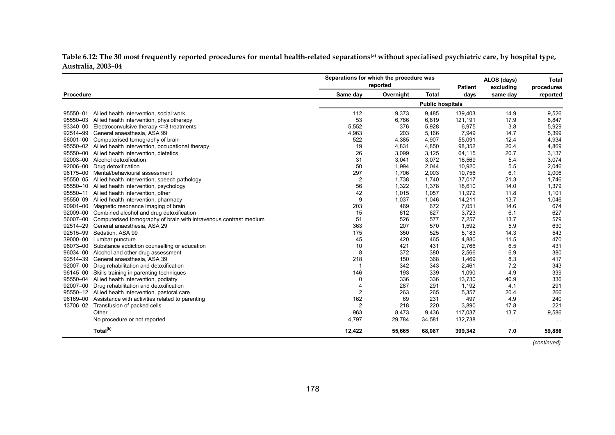Table 6.12: The 30 most frequently reported procedures for mental health-related separations<sup>(a)</sup> without specialised psychiatric care, by hospital type, **Australia, 2003–04**

|           |                                                                   | Separations for which the procedure was<br>reported |           |                         | <b>Patient</b> | ALOS (days)<br>excluding | <b>Total</b><br>procedures |
|-----------|-------------------------------------------------------------------|-----------------------------------------------------|-----------|-------------------------|----------------|--------------------------|----------------------------|
| Procedure |                                                                   | Same day                                            | Overnight | <b>Total</b>            | days           | same day                 | reported                   |
|           |                                                                   |                                                     |           | <b>Public hospitals</b> |                |                          |                            |
| 95550-01  | Allied health intervention, social work                           | 112                                                 | 9,373     | 9,485                   | 139,403        | 14.9                     | 9,526                      |
| 95550-03  | Allied health intervention, physiotherapy                         | 53                                                  | 6,766     | 6,819                   | 121,191        | 17.9                     | 6,847                      |
| 93340-00  | Electroconvulsive therapy <= 8 treatments                         | 5,552                                               | 376       | 5,928                   | 6,975          | 3.8                      | 5,929                      |
| 92514-99  | General anaesthesia, ASA 99                                       | 4,963                                               | 203       | 5,166                   | 7,949          | 14.7                     | 5,399                      |
| 56001-00  | Computerised tomography of brain                                  | 522                                                 | 4,385     | 4,907                   | 55,091         | 12.4                     | 4,934                      |
| 95550-02  | Allied health intervention, occupational therapy                  | 19                                                  | 4,831     | 4,850                   | 98,352         | 20.4                     | 4,869                      |
| 95550-00  | Allied health intervention, dietetics                             | 26                                                  | 3,099     | 3,125                   | 64,115         | 20.7                     | 3,137                      |
| 92003-00  | Alcohol detoxification                                            | 31                                                  | 3,041     | 3,072                   | 16,569         | 5.4                      | 3,074                      |
| 92006-00  | Drug detoxification                                               | 50                                                  | 1,994     | 2,044                   | 10,920         | 5.5                      | 2,046                      |
| 96175-00  | Mental/behavioural assessment                                     | 297                                                 | 1.706     | 2,003                   | 10,756         | 6.1                      | 2,006                      |
| 95550-05  | Allied health intervention, speech pathology                      | $\overline{2}$                                      | 1,738     | 1,740                   | 37,017         | 21.3                     | 1,746                      |
| 95550-10  | Allied health intervention, psychology                            | 56                                                  | 1,322     | 1,378                   | 18,610         | 14.0                     | 1,379                      |
| 95550-11  | Allied health intervention, other                                 | 42                                                  | 1,015     | 1,057                   | 11,972         | 11.8                     | 1,101                      |
| 95550-09  | Allied health intervention, pharmacy                              | 9                                                   | 1,037     | 1,046                   | 14,211         | 13.7                     | 1,046                      |
| 90901-00  | Magnetic resonance imaging of brain                               | 203                                                 | 469       | 672                     | 7,051          | 14.6                     | 674                        |
| 92009-00  | Combined alcohol and drug detoxification                          | 15                                                  | 612       | 627                     | 3,723          | 6.1                      | 627                        |
| 56007-00  | Computerised tomography of brain with intravenous contrast medium | 51                                                  | 526       | 577                     | 7,257          | 13.7                     | 579                        |
| 92514-29  | General anaesthesia, ASA 29                                       | 363                                                 | 207       | 570                     | 1,592          | 5.9                      | 630                        |
| 92515-99  | Sedation, ASA 99                                                  | 175                                                 | 350       | 525                     | 5,183          | 14.3                     | 543                        |
| 39000-00  | Lumbar puncture                                                   | 45                                                  | 420       | 465                     | 4,880          | 11.5                     | 470                        |
| 96073-00  | Substance addiction counselling or education                      | 10                                                  | 421       | 431                     | 2,766          | 6.5                      | 431                        |
| 96034-00  | Alcohol and other drug assessment                                 | 8                                                   | 372       | 380                     | 2,566          | 6.9                      | 380                        |
| 92514-39  | General anaesthesia, ASA 39                                       | 218                                                 | 150       | 368                     | 1,469          | 8.3                      | 417                        |
| 92007-00  | Drug rehabilitation and detoxification                            |                                                     | 342       | 343                     | 2,461          | 7.2                      | 343                        |
| 96145-00  | Skills training in parenting techniques                           | 146                                                 | 193       | 339                     | 1,090          | 4.9                      | 339                        |
| 95550-04  | Allied health intervention, podiatry                              | 0                                                   | 336       | 336                     | 13,730         | 40.9                     | 336                        |
| 92007-00  | Drug rehabilitation and detoxification                            | $\overline{4}$                                      | 287       | 291                     | 1,192          | 4.1                      | 291                        |
| 95550-12  | Allied health intervention, pastoral care                         | $\overline{2}$                                      | 263       | 265                     | 5,357          | 20.4                     | 266                        |
| 96169-00  | Assistance with activities related to parenting                   | 162                                                 | 69        | 231                     | 497            | 4.9                      | 240                        |
| 13706-02  | Transfusion of packed cells                                       | $\overline{2}$                                      | 218       | 220                     | 3,890          | 17.8                     | 221                        |
|           | Other                                                             | 963                                                 | 8,473     | 9,436                   | 117,037        | 13.7                     | 9,586                      |
|           |                                                                   | 4,797                                               | 29,784    |                         | 132,738        |                          |                            |
|           | No procedure or not reported                                      |                                                     |           | 34,581                  |                | $\sim$ $\sim$            | $\cdot$ .                  |
|           | Total <sup>(b)</sup>                                              | 12,422                                              | 55,665    | 68,087                  | 399,342        | 7.0                      | 59,886                     |

*(continued)*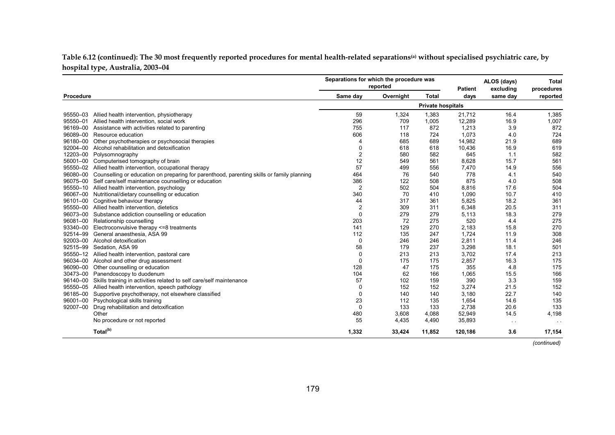**Table 6.12 (continued): The 30 most frequently reported procedures for mental health-related separations(a) without specialised psychiatric care, by hospital type, Australia, 2003–04**

|           |                                                                                           | Separations for which the procedure was<br>reported |           |                          | <b>Patient</b> | ALOS (days)<br>excluding | <b>Total</b><br>procedures |
|-----------|-------------------------------------------------------------------------------------------|-----------------------------------------------------|-----------|--------------------------|----------------|--------------------------|----------------------------|
| Procedure |                                                                                           | Same day                                            | Overnight | <b>Total</b>             | days           | same day                 | reported                   |
|           |                                                                                           |                                                     |           | <b>Private hospitals</b> |                |                          |                            |
|           | 95550-03 Allied health intervention, physiotherapy                                        | 59                                                  | 1,324     | 1,383                    | 21,712         | 16.4                     | 1,385                      |
| 95550-01  | Allied health intervention, social work                                                   | 296                                                 | 709       | 1,005                    | 12,289         | 16.9                     | 1,007                      |
| 96169-00  | Assistance with activities related to parenting                                           | 755                                                 | 117       | 872                      | 1,213          | 3.9                      | 872                        |
| 96089-00  | Resource education                                                                        | 606                                                 | 118       | 724                      | 1,073          | 4.0                      | 724                        |
| 96180-00  | Other psychotherapies or psychosocial therapies                                           | $\overline{4}$                                      | 685       | 689                      | 14,982         | 21.9                     | 689                        |
| 92004-00  | Alcohol rehabilitation and detoxification                                                 | 0                                                   | 618       | 618                      | 10,436         | 16.9                     | 619                        |
| 12203-00  | Polysomnography                                                                           | 2                                                   | 580       | 582                      | 645            | 1.1                      | 582                        |
| 56001-00  | Computerised tomography of brain                                                          | 12                                                  | 549       | 561                      | 8,628          | 15.7                     | 561                        |
|           | 95550-02 Allied health intervention, occupational therapy                                 | 57                                                  | 499       | 556                      | 7,470          | 14.9                     | 556                        |
| 96080-00  | Counselling or education on preparing for parenthood, parenting skills or family planning | 464                                                 | 76        | 540                      | 778            | 4.1                      | 540                        |
| 96075-00  | Self care/self maintenance counselling or education                                       | 386                                                 | 122       | 508                      | 875            | 4.0                      | 508                        |
| 95550-10  | Allied health intervention, psychology                                                    | $\overline{2}$                                      | 502       | 504                      | 8,816          | 17.6                     | 504                        |
| 96067-00  | Nutritional/dietary counselling or education                                              | 340                                                 | 70        | 410                      | 1,090          | 10.7                     | 410                        |
| 96101-00  | Cognitive behaviour therapy                                                               | 44                                                  | 317       | 361                      | 5,825          | 18.2                     | 361                        |
| 95550-00  | Allied health intervention, dietetics                                                     | $\overline{c}$                                      | 309       | 311                      | 6,348          | 20.5                     | 311                        |
| 96073-00  | Substance addiction counselling or education                                              | 0                                                   | 279       | 279                      | 5,113          | 18.3                     | 279                        |
| 96081-00  | Relationship counselling                                                                  | 203                                                 | 72        | 275                      | 520            | 4.4                      | 275                        |
| 93340-00  | Electroconvulsive therapy <= 8 treatments                                                 | 141                                                 | 129       | 270                      | 2,183          | 15.8                     | 270                        |
| 92514-99  | General anaesthesia. ASA 99                                                               | 112                                                 | 135       | 247                      | 1,724          | 11.9                     | 308                        |
| 92003-00  | Alcohol detoxification                                                                    | 0                                                   | 246       | 246                      | 2,811          | 11.4                     | 246                        |
| 92515-99  | Sedation, ASA 99                                                                          | 58                                                  | 179       | 237                      | 3,298          | 18.1                     | 501                        |
| 95550-12  | Allied health intervention, pastoral care                                                 | 0                                                   | 213       | 213                      | 3,702          | 17.4                     | 213                        |
| 96034-00  | Alcohol and other drug assessment                                                         | 0                                                   | 175       | 175                      | 2,857          | 16.3                     | 175                        |
| 96090-00  | Other counselling or education                                                            | 128                                                 | 47        | 175                      | 355            | 4.8                      | 175                        |
| 30473-00  | Panendoscopy to duodenum                                                                  | 104                                                 | 62        | 166                      | 1,065          | 15.5                     | 166                        |
| 96140-00  | Skills training in activities related to self care/self maintenance                       | 57                                                  | 102       | 159                      | 390            | 3.3                      | 159                        |
| 95550-05  | Allied health intervention, speech pathology                                              | 0                                                   | 152       | 152                      | 3,274          | 21.5                     | 152                        |
| 96185-00  | Supportive psychotherapy, not elsewhere classified                                        | 0                                                   | 140       | 140                      | 3,180          | 22.7                     | 140                        |
| 96001-00  | Psychological skills training                                                             | 23                                                  | 112       | 135                      | 1,654          | 14.6                     | 135                        |
| 92007-00  | Drug rehabilitation and detoxification                                                    | 0                                                   | 133       | 133                      | 2,738          | 20.6                     | 133                        |
|           | Other                                                                                     | 480                                                 | 3,608     | 4,088                    | 52,949         | 14.5                     | 4,198                      |
|           | No procedure or not reported                                                              | 55                                                  | 4,435     | 4,490                    | 35,893         | $\sim$ $\sim$            | $\sim$ $\sim$              |
|           | Total <sup>(b)</sup>                                                                      | 1,332                                               | 33,424    | 11,852                   | 120,186        | 3.6                      | 17,154                     |

*(continued)*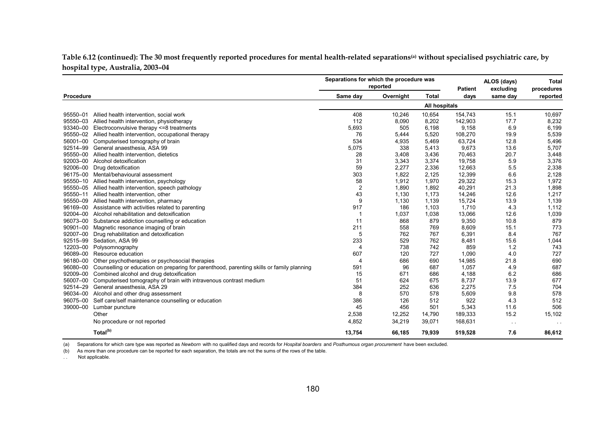**Table 6.12 (continued): The 30 most frequently reported procedures for mental health-related separations(a) without specialised psychiatric care, by hospital type, Australia, 2003–04**

|           |                                                                                           | Separations for which the procedure was | reported  |               | <b>Patient</b> | ALOS (days)<br>excluding | <b>Total</b><br>procedures |
|-----------|-------------------------------------------------------------------------------------------|-----------------------------------------|-----------|---------------|----------------|--------------------------|----------------------------|
| Procedure |                                                                                           | Same day                                | Overnight | <b>Total</b>  | days           | same day                 | reported                   |
|           |                                                                                           |                                         |           | All hospitals |                |                          |                            |
| 95550-01  | Allied health intervention, social work                                                   | 408                                     | 10,246    | 10,654        | 154,743        | 15.1                     | 10,697                     |
| 95550-03  | Allied health intervention, physiotherapy                                                 | 112                                     | 8,090     | 8,202         | 142,903        | 17.7                     | 8,232                      |
| 93340-00  | Electroconvulsive therapy <= 8 treatments                                                 | 5,693                                   | 505       | 6,198         | 9,158          | 6.9                      | 6,199                      |
| 95550-02  | Allied health intervention, occupational therapy                                          | 76                                      | 5,444     | 5,520         | 108,270        | 19.9                     | 5,539                      |
| 56001-00  | Computerised tomography of brain                                                          | 534                                     | 4,935     | 5,469         | 63,724         | 12.8                     | 5,496                      |
| 92514-99  | General anaesthesia, ASA 99                                                               | 5,075                                   | 338       | 5,413         | 9,673          | 13.6                     | 5,707                      |
| 95550-00  | Allied health intervention, dietetics                                                     | 28                                      | 3,408     | 3,436         | 70,463         | 20.7                     | 3,448                      |
| 92003-00  | Alcohol detoxification                                                                    | 31                                      | 3,343     | 3,374         | 19,758         | 5.9                      | 3,376                      |
| 92006-00  | Drug detoxification                                                                       | 59                                      | 2,277     | 2,336         | 12,663         | 5.5                      | 2,338                      |
| 96175-00  | Mental/behavioural assessment                                                             | 303                                     | 1,822     | 2,125         | 12,399         | 6.6                      | 2,128                      |
| 95550-10  | Allied health intervention, psychology                                                    | 58                                      | 1,912     | 1,970         | 29,322         | 15.3                     | 1,972                      |
| 95550-05  | Allied health intervention, speech pathology                                              | $\overline{2}$                          | 1,890     | 1,892         | 40,291         | 21.3                     | 1,898                      |
| 95550-11  | Allied health intervention, other                                                         | 43                                      | 1,130     | 1,173         | 14,246         | 12.6                     | 1,217                      |
| 95550-09  | Allied health intervention, pharmacy                                                      | 9                                       | 1,130     | 1,139         | 15,724         | 13.9                     | 1,139                      |
| 96169-00  | Assistance with activities related to parenting                                           | 917                                     | 186       | 1,103         | 1,710          | 4.3                      | 1,112                      |
| 92004-00  | Alcohol rehabilitation and detoxification                                                 | -1                                      | 1,037     | 1,038         | 13,066         | 12.6                     | 1,039                      |
| 96073-00  | Substance addiction counselling or education                                              | 11                                      | 868       | 879           | 9,350          | 10.8                     | 879                        |
| 90901-00  | Magnetic resonance imaging of brain                                                       | 211                                     | 558       | 769           | 8,609          | 15.1                     | 773                        |
| 92007-00  | Drug rehabilitation and detoxification                                                    | 5                                       | 762       | 767           | 6,391          | 8.4                      | 767                        |
| 92515-99  | Sedation, ASA 99                                                                          | 233                                     | 529       | 762           | 8,481          | 15.6                     | 1,044                      |
| 12203-00  | Polysomnography                                                                           | $\overline{4}$                          | 738       | 742           | 859            | 1.2                      | 743                        |
| 96089-00  | Resource education                                                                        | 607                                     | 120       | 727           | 1,090          | 4.0                      | 727                        |
| 96180-00  | Other psychotherapies or psychosocial therapies                                           | 4                                       | 686       | 690           | 14,985         | 21.8                     | 690                        |
| 96080-00  | Counselling or education on preparing for parenthood, parenting skills or family planning | 591                                     | 96        | 687           | 1,057          | 4.9                      | 687                        |
| 92009-00  | Combined alcohol and drug detoxification                                                  | 15                                      | 671       | 686           | 4,188          | 6.2                      | 686                        |
| 56007-00  | Computerised tomography of brain with intravenous contrast medium                         | 51                                      | 624       | 675           | 8,737          | 13.9                     | 677                        |
| 92514-29  | General anaesthesia, ASA 29                                                               | 384                                     | 252       | 636           | 2,275          | 7.5                      | 704                        |
| 96034-00  | Alcohol and other drug assessment                                                         | 8                                       | 570       | 578           | 5,609          | 9.8                      | 578                        |
| 96075-00  | Self care/self maintenance counselling or education                                       | 386                                     | 126       | 512           | 922            | 4.3                      | 512                        |
| 39000-00  | Lumbar puncture                                                                           | 45                                      | 456       | 501           | 5,343          | 11.6                     | 506                        |
|           | Other                                                                                     | 2,538                                   | 12,252    | 14,790        | 189,333        | 15.2                     | 15,102                     |
|           | No procedure or not reported                                                              | 4,852                                   | 34,219    | 39,071        | 168,631        | $\sim$ $\sim$            | $\sim$ $\sim$              |
|           | Total <sup>(b)</sup>                                                                      | 13,754                                  | 66,185    | 79,939        | 519,528        | 7.6                      | 86,612                     |

(a) Separations for which care type was reported as *Newborn* with no qualified days and records for *Hospital boarders* and *Posthumous organ procurement* have been excluded.

(b) As more than one procedure can be reported for each separation, the totals are not the sums of the rows of the table.

.. Not applicable.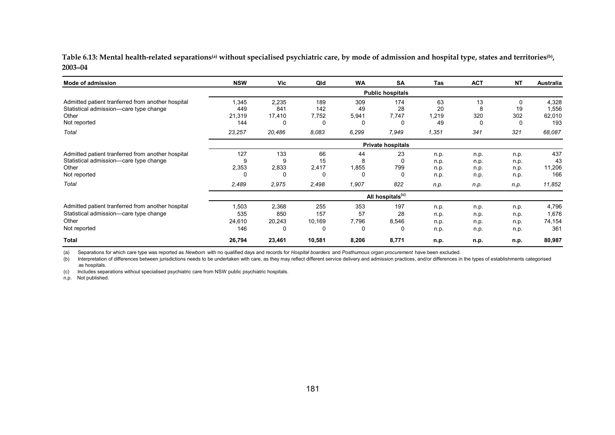Table 6.13: Mental health-related separations<sup>(a)</sup> without specialised psychiatric care, by mode of admission and hospital type, states and territories<sup>(b)</sup>, **2003–04**

| Mode of admission                                                                                                    | <b>NSW</b>                    | Vic                         | Qld                       | <b>WA</b>                      | <b>SA</b>                    | Tas                          | <b>ACT</b>                   | <b>NT</b>                    | Australia                       |
|----------------------------------------------------------------------------------------------------------------------|-------------------------------|-----------------------------|---------------------------|--------------------------------|------------------------------|------------------------------|------------------------------|------------------------------|---------------------------------|
|                                                                                                                      |                               |                             |                           |                                | <b>Public hospitals</b>      |                              |                              |                              |                                 |
| Admitted patient tranferred from another hospital<br>Statistical admission-care type change<br>Other<br>Not reported | 1,345<br>449<br>21,319<br>144 | 2,235<br>841<br>17,410<br>0 | 189<br>142<br>7,752<br>0  | 309<br>49<br>5,941             | 174<br>28<br>7,747<br>0      | 63<br>20<br>1,219<br>49      | 13<br>8<br>320<br>0          | 0<br>19<br>302<br>0          | 4,328<br>1,556<br>62,010<br>193 |
| Total                                                                                                                | 23,257                        | 20,486                      | 8,083                     | 6,299                          | 7,949                        | 1,351                        | 341                          | 321                          | 68,087                          |
|                                                                                                                      |                               |                             |                           |                                | <b>Private hospitals</b>     |                              |                              |                              |                                 |
| Admitted patient tranferred from another hospital<br>Statistical admission-care type change<br>Other<br>Not reported | 127<br>9<br>2,353<br>0        | 133<br>9<br>2,833<br>0      | 66<br>15<br>2,417<br>0    | 44<br>8<br>1,855               | 23<br>0<br>799<br>0          | n.p.<br>n.p.<br>n.p.<br>n.p. | n.p.<br>n.p.<br>n.p.<br>n.p. | n.p.<br>n.p.<br>n.p.<br>n.p. | 437<br>43<br>11,206<br>166      |
| Total                                                                                                                | 2,489                         | 2,975                       | 2,498                     | 1,907                          | 822                          | n.p.                         | n.p.                         | n.p.                         | 11,852                          |
|                                                                                                                      |                               |                             |                           |                                | All hospitals <sup>(c)</sup> |                              |                              |                              |                                 |
| Admitted patient tranferred from another hospital<br>Statistical admission-care type change<br>Other<br>Not reported | 1,503<br>535<br>24,610<br>146 | 2,368<br>850<br>20,243<br>0 | 255<br>157<br>10,169<br>0 | 353<br>57<br>7,796<br>$\Omega$ | 197<br>28<br>8,546<br>0      | n.p.<br>n.p.<br>n.p.<br>n.p. | n.p.<br>n.p.<br>n.p.<br>n.p. | n.p.<br>n.p.<br>n.p.<br>n.p. | 4,796<br>1,676<br>74,154<br>361 |
| <b>Total</b>                                                                                                         | 26,794                        | 23,461                      | 10,581                    | 8,206                          | 8,771                        | n.p.                         | n.p.                         | n.p.                         | 80,987                          |

(a) Separations for which care type was reported as *Newborn* with no qualified days and records for *Hospital boarders* and *Posthumous organ procurement* have been excluded.

(b) Interpretation of differences between jurisdictions needs to be undertaken with care, as they may reflect different service delivery and admission practices, and/or differences in the types of establishments categorise as hospitals.

(c) Includes separations without specialised psychiatric care from NSW public psychiatric hospitals.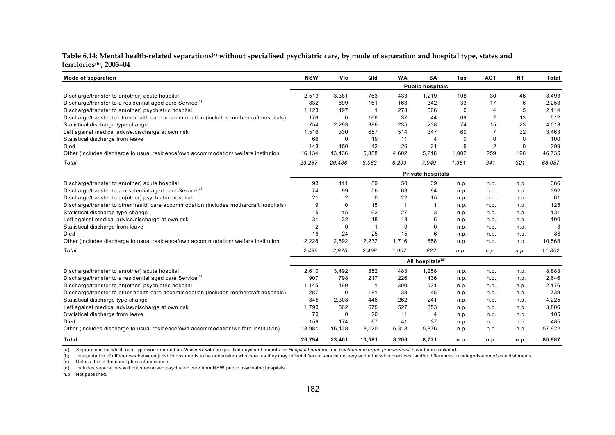| Table 6.14: Mental health-related separations <sup>(a)</sup> without specialised psychiatric care, by mode of separation and hospital type, states and |  |  |
|--------------------------------------------------------------------------------------------------------------------------------------------------------|--|--|
| territories <sup>(b)</sup> , 2003–04                                                                                                                   |  |  |

| Mode of separation                                                                     | <b>NSW</b>     | Vic          | Qld            | <b>WA</b>      | <b>SA</b>                    | Tas   | <b>ACT</b>     | <b>NT</b> | Total  |
|----------------------------------------------------------------------------------------|----------------|--------------|----------------|----------------|------------------------------|-------|----------------|-----------|--------|
|                                                                                        |                |              |                |                | <b>Public hospitals</b>      |       |                |           |        |
| Discharge/transfer to an(other) acute hospital                                         | 2,513          | 3,381        | 763            | 433            | 1,219                        | 108   | 30             | 46        | 8,493  |
| Discharge/transfer to a residential aged care Service <sup>(c)</sup>                   | 832            | 699          | 161            | 163            | 342                          | 33    | 17             | 6         | 2,253  |
| Discharge/transfer to an(other) psychiatric hospital                                   | 1,123          | 197          | -1             | 278            | 506                          | 0     | $\overline{4}$ | 5         | 2,114  |
| Discharge/transfer to other health care accommodation (includes mothercraft hospitals) | 176            | 0            | 166            | 37             | 44                           | 69    | 7              | 13        | 512    |
| Statistical discharge type change                                                      | 754            | 2,293        | 386            | 235            | 238                          | 74    | 15             | 23        | 4,018  |
| Left against medical advise/discharge at own risk                                      | 1,516          | 330          | 657            | 514            | 347                          | 60    | 7              | 32        | 3,463  |
| Statistical discharge from leave                                                       | 66             | $\mathbf{0}$ | 19             | 11             | $\overline{4}$               | 0     | $\Omega$       | $\Omega$  | 100    |
| Died                                                                                   | 143            | 150          | 42             | 26             | 31                           | 5     | 2              | $\Omega$  | 399    |
| Other (includes discharge to usual residence/own accommodation/ welfare institution    | 16,134         | 13,436       | 5,888          | 4,602          | 5,218                        | 1,002 | 259            | 196       | 46,735 |
| Total                                                                                  | 23,257         | 20,486       | 8,083          | 6,299          | 7,949                        | 1,351 | 341            | 321       | 68,087 |
|                                                                                        |                |              |                |                | <b>Private hospitals</b>     |       |                |           |        |
| Discharge/transfer to an(other) acute hospital                                         | 93             | 111          | 89             | 50             | 39                           | n.p.  | n.p.           | n.p.      | 386    |
| Discharge/transfer to a residential aged care Service <sup>(c)</sup>                   | 74             | 99           | 56             | 63             | 94                           | n.p.  | n.p.           | n.p.      | 392    |
| Discharge/transfer to an(other) psychiatric hospital                                   | 21             | 2            | 0              | 22             | 15                           | n.p.  | n.p.           | n.p.      | 61     |
| Discharge/transfer to other health care accommodation (includes mothercraft hospitals) | 9              | 0            | 15             | $\overline{1}$ |                              | n.p.  | n.p.           | n.p.      | 125    |
| Statistical discharge type change                                                      | 15             | 15           | 62             | 27             | 3                            | n.p.  | n.p.           | n.p.      | 131    |
| Left against medical advise/discharge at own risk                                      | 31             | 32           | 18             | 13             | 6                            | n.p.  | n.p.           | n.p.      | 100    |
| Statistical discharge from leave                                                       | $\overline{2}$ | 0            | $\overline{1}$ | 0              | $\Omega$                     | n.p.  | n.p.           | n.p.      | 3      |
| Died                                                                                   | 16             | 24           | 25             | 15             | 6                            | n.p.  | n.p.           | n.p.      | 86     |
| Other (includes discharge to usual residence/own accommodation/ welfare institution    | 2,228          | 2,692        | 2,232          | 1,716          | 658                          | n.p.  | n.p.           | n.p.      | 10,568 |
| Total                                                                                  | 2,489          | 2,975        | 2,498          | 1,907          | 822                          | n.p.  | n.p.           | n.p.      | 11,852 |
|                                                                                        |                |              |                |                | All hospitals <sup>(d)</sup> |       |                |           |        |
| Discharge/transfer to an(other) acute hospital                                         | 2,610          | 3,492        | 852            | 483            | 1,258                        | n.p.  | n.p.           | n.p.      | 8,883  |
| Discharge/transfer to a residential aged care Service <sup>(c)</sup>                   | 907            | 798          | 217            | 226            | 436                          | n.p.  | n.p.           | n.p.      | 2,646  |
| Discharge/transfer to an(other) psychiatric hospital                                   | 1,145          | 199          | -1             | 300            | 521                          | n.p.  | n.p.           | n.p.      | 2,176  |
| Discharge/transfer to other health care accommodation (includes mothercraft hospitals) | 287            | 0            | 181            | 38             | 45                           | n.p.  | n.p.           | n.p.      | 739    |
| Statistical discharge type change                                                      | 845            | 2,308        | 448            | 262            | 241                          | n.p.  | n.p.           | n.p.      | 4,225  |
| Left against medical advise/discharge at own risk                                      | 1,790          | 362          | 675            | 527            | 353                          | n.p.  | n.p.           | n.p.      | 3,806  |
| Statistical discharge from leave                                                       | 70             | $\mathbf 0$  | 20             | 11             | $\overline{4}$               | n.p.  | n.p.           | n.p.      | 105    |
| Died                                                                                   | 159            | 174          | 67             | 41             | 37                           | n.p.  | n.p.           | n.p.      | 485    |
| Other (includes discharge to usual residence/own accommodation/welfare institution)    | 18,981         | 16,128       | 8,120          | 6,318          | 5,876                        | n.p.  | n.p.           | n.p.      | 57,922 |
| Total                                                                                  | 26,794         | 23,461       | 10,581         | 8,206          | 8,771                        | n.p.  | n.p.           | n.p.      | 80,987 |

(a) Separations for which care type was reported as *Newborn* with no qualified days and records for *Hospital boarders* and *Posthumous organ procurement* have been excluded.

(b) Interpretation of differences between jurisdictions needs to be undertaken with care, as they may reflect different service delivery and admission practices, and/or differences in categorisation of establishments.

(c) Unless this is the usual place of residence.

(d) Includes separations without specialised psychiatric care from NSW public psychiatric hospitals.